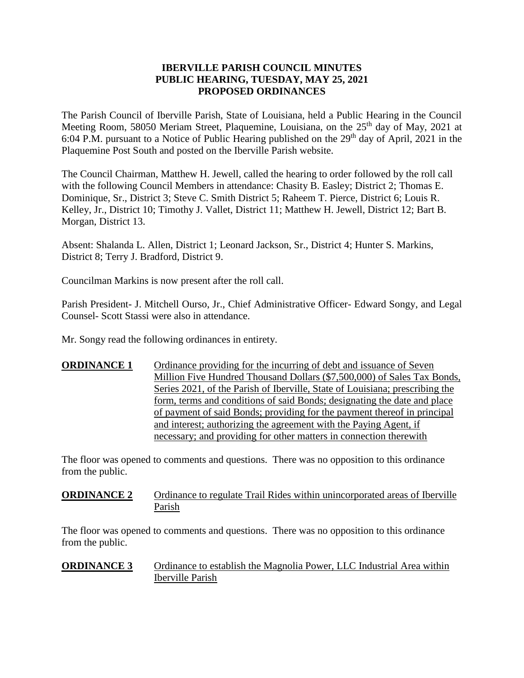# **IBERVILLE PARISH COUNCIL MINUTES PUBLIC HEARING, TUESDAY, MAY 25, 2021 PROPOSED ORDINANCES**

The Parish Council of Iberville Parish, State of Louisiana, held a Public Hearing in the Council Meeting Room, 58050 Meriam Street, Plaquemine, Louisiana, on the 25<sup>th</sup> day of May, 2021 at 6:04 P.M. pursuant to a Notice of Public Hearing published on the  $29<sup>th</sup>$  day of April, 2021 in the Plaquemine Post South and posted on the Iberville Parish website.

The Council Chairman, Matthew H. Jewell, called the hearing to order followed by the roll call with the following Council Members in attendance: Chasity B. Easley; District 2; Thomas E. Dominique, Sr., District 3; Steve C. Smith District 5; Raheem T. Pierce, District 6; Louis R. Kelley, Jr., District 10; Timothy J. Vallet, District 11; Matthew H. Jewell, District 12; Bart B. Morgan, District 13.

Absent: Shalanda L. Allen, District 1; Leonard Jackson, Sr., District 4; Hunter S. Markins, District 8; Terry J. Bradford, District 9.

Councilman Markins is now present after the roll call.

Parish President- J. Mitchell Ourso, Jr., Chief Administrative Officer- Edward Songy, and Legal Counsel- Scott Stassi were also in attendance.

Mr. Songy read the following ordinances in entirety.

**ORDINANCE 1** Ordinance providing for the incurring of debt and issuance of Seven Million Five Hundred Thousand Dollars (\$7,500,000) of Sales Tax Bonds, Series 2021, of the Parish of Iberville, State of Louisiana; prescribing the form, terms and conditions of said Bonds; designating the date and place of payment of said Bonds; providing for the payment thereof in principal and interest; authorizing the agreement with the Paying Agent, if necessary; and providing for other matters in connection therewith

The floor was opened to comments and questions. There was no opposition to this ordinance from the public.

**ORDINANCE 2** Ordinance to regulate Trail Rides within unincorporated areas of Iberville Parish

The floor was opened to comments and questions. There was no opposition to this ordinance from the public.

**ORDINANCE 3** Ordinance to establish the Magnolia Power, LLC Industrial Area within Iberville Parish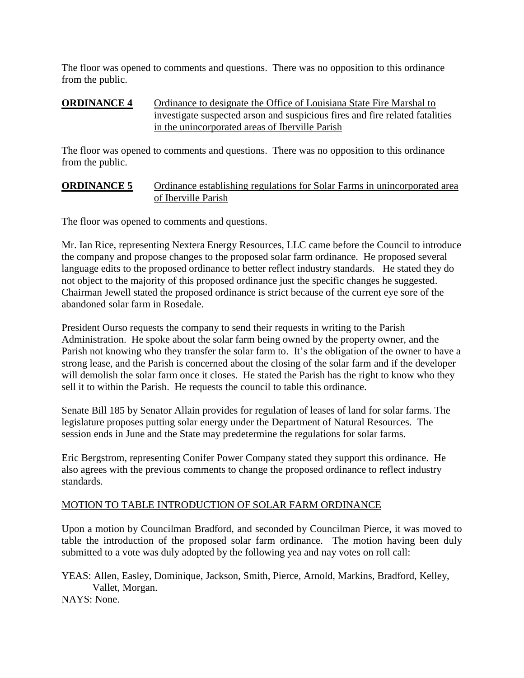The floor was opened to comments and questions. There was no opposition to this ordinance from the public.

# **ORDINANCE 4** Ordinance to designate the Office of Louisiana State Fire Marshal to investigate suspected arson and suspicious fires and fire related fatalities in the unincorporated areas of Iberville Parish

The floor was opened to comments and questions. There was no opposition to this ordinance from the public.

# **ORDINANCE 5** Ordinance establishing regulations for Solar Farms in unincorporated area of Iberville Parish

The floor was opened to comments and questions.

Mr. Ian Rice, representing Nextera Energy Resources, LLC came before the Council to introduce the company and propose changes to the proposed solar farm ordinance. He proposed several language edits to the proposed ordinance to better reflect industry standards. He stated they do not object to the majority of this proposed ordinance just the specific changes he suggested. Chairman Jewell stated the proposed ordinance is strict because of the current eye sore of the abandoned solar farm in Rosedale.

President Ourso requests the company to send their requests in writing to the Parish Administration. He spoke about the solar farm being owned by the property owner, and the Parish not knowing who they transfer the solar farm to. It's the obligation of the owner to have a strong lease, and the Parish is concerned about the closing of the solar farm and if the developer will demolish the solar farm once it closes. He stated the Parish has the right to know who they sell it to within the Parish. He requests the council to table this ordinance.

Senate Bill 185 by Senator Allain provides for regulation of leases of land for solar farms. The legislature proposes putting solar energy under the Department of Natural Resources. The session ends in June and the State may predetermine the regulations for solar farms.

Eric Bergstrom, representing Conifer Power Company stated they support this ordinance. He also agrees with the previous comments to change the proposed ordinance to reflect industry standards.

# MOTION TO TABLE INTRODUCTION OF SOLAR FARM ORDINANCE

Upon a motion by Councilman Bradford, and seconded by Councilman Pierce, it was moved to table the introduction of the proposed solar farm ordinance. The motion having been duly submitted to a vote was duly adopted by the following yea and nay votes on roll call:

YEAS: Allen, Easley, Dominique, Jackson, Smith, Pierce, Arnold, Markins, Bradford, Kelley, Vallet, Morgan. NAYS: None.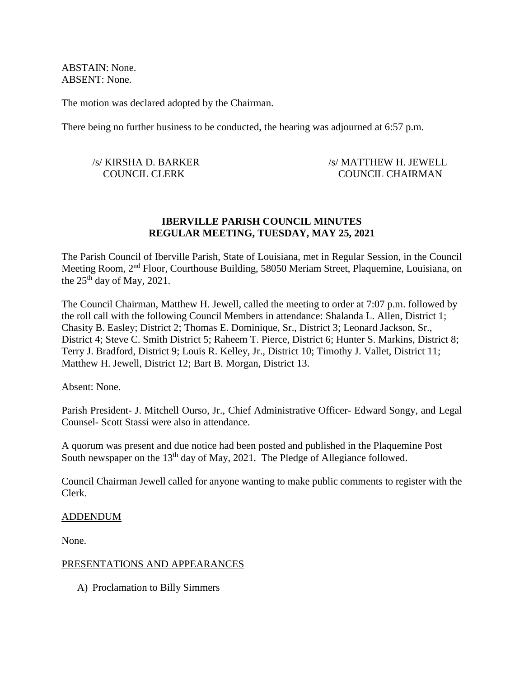ABSTAIN: None. ABSENT: None.

The motion was declared adopted by the Chairman.

There being no further business to be conducted, the hearing was adjourned at 6:57 p.m.

/s/ KIRSHA D. BARKER /s/ MATTHEW H. JEWELL COUNCIL CLERK COUNCIL CHAIRMAN

# **IBERVILLE PARISH COUNCIL MINUTES REGULAR MEETING, TUESDAY, MAY 25, 2021**

The Parish Council of Iberville Parish, State of Louisiana, met in Regular Session, in the Council Meeting Room, 2nd Floor, Courthouse Building, 58050 Meriam Street, Plaquemine, Louisiana, on the  $25<sup>th</sup>$  day of May, 2021.

The Council Chairman, Matthew H. Jewell, called the meeting to order at 7:07 p.m. followed by the roll call with the following Council Members in attendance: Shalanda L. Allen, District 1; Chasity B. Easley; District 2; Thomas E. Dominique, Sr., District 3; Leonard Jackson, Sr., District 4; Steve C. Smith District 5; Raheem T. Pierce, District 6; Hunter S. Markins, District 8; Terry J. Bradford, District 9; Louis R. Kelley, Jr., District 10; Timothy J. Vallet, District 11; Matthew H. Jewell, District 12; Bart B. Morgan, District 13.

Absent: None.

Parish President- J. Mitchell Ourso, Jr., Chief Administrative Officer- Edward Songy, and Legal Counsel- Scott Stassi were also in attendance.

A quorum was present and due notice had been posted and published in the Plaquemine Post South newspaper on the 13<sup>th</sup> day of May, 2021. The Pledge of Allegiance followed.

Council Chairman Jewell called for anyone wanting to make public comments to register with the Clerk.

### ADDENDUM

None.

#### PRESENTATIONS AND APPEARANCES

A) Proclamation to Billy Simmers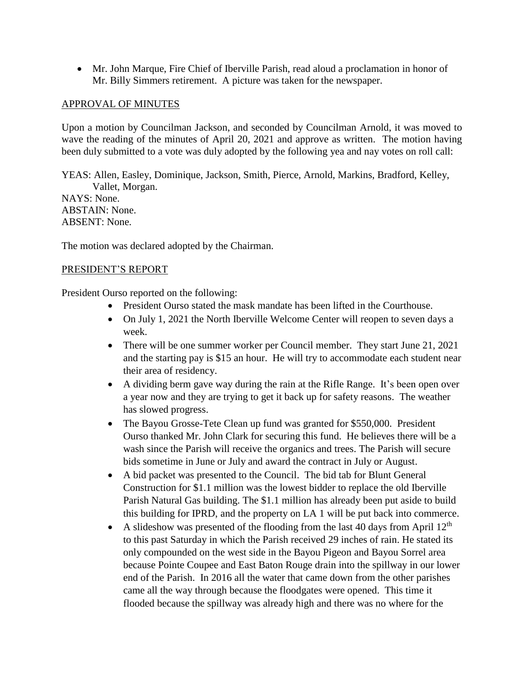• Mr. John Marque, Fire Chief of Iberville Parish, read aloud a proclamation in honor of Mr. Billy Simmers retirement. A picture was taken for the newspaper.

# APPROVAL OF MINUTES

Upon a motion by Councilman Jackson, and seconded by Councilman Arnold, it was moved to wave the reading of the minutes of April 20, 2021 and approve as written. The motion having been duly submitted to a vote was duly adopted by the following yea and nay votes on roll call:

YEAS: Allen, Easley, Dominique, Jackson, Smith, Pierce, Arnold, Markins, Bradford, Kelley, Vallet, Morgan. NAYS: None. ABSTAIN: None. ABSENT: None.

The motion was declared adopted by the Chairman.

### PRESIDENT'S REPORT

President Ourso reported on the following:

- President Ourso stated the mask mandate has been lifted in the Courthouse.
- On July 1, 2021 the North Iberville Welcome Center will reopen to seven days a week.
- There will be one summer worker per Council member. They start June 21, 2021 and the starting pay is \$15 an hour. He will try to accommodate each student near their area of residency.
- A dividing berm gave way during the rain at the Rifle Range. It's been open over a year now and they are trying to get it back up for safety reasons. The weather has slowed progress.
- The Bayou Grosse-Tete Clean up fund was granted for \$550,000. President Ourso thanked Mr. John Clark for securing this fund. He believes there will be a wash since the Parish will receive the organics and trees. The Parish will secure bids sometime in June or July and award the contract in July or August.
- A bid packet was presented to the Council. The bid tab for Blunt General Construction for \$1.1 million was the lowest bidder to replace the old Iberville Parish Natural Gas building. The \$1.1 million has already been put aside to build this building for IPRD, and the property on LA 1 will be put back into commerce.
- A slideshow was presented of the flooding from the last 40 days from April  $12<sup>th</sup>$ to this past Saturday in which the Parish received 29 inches of rain. He stated its only compounded on the west side in the Bayou Pigeon and Bayou Sorrel area because Pointe Coupee and East Baton Rouge drain into the spillway in our lower end of the Parish. In 2016 all the water that came down from the other parishes came all the way through because the floodgates were opened. This time it flooded because the spillway was already high and there was no where for the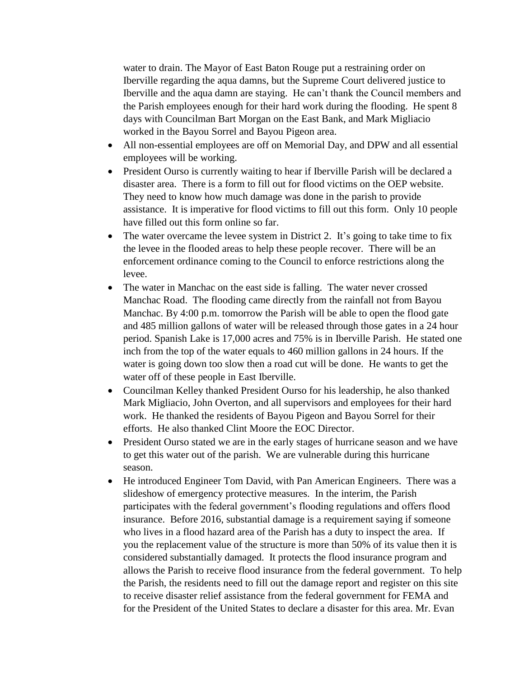water to drain. The Mayor of East Baton Rouge put a restraining order on Iberville regarding the aqua damns, but the Supreme Court delivered justice to Iberville and the aqua damn are staying. He can't thank the Council members and the Parish employees enough for their hard work during the flooding. He spent 8 days with Councilman Bart Morgan on the East Bank, and Mark Migliacio worked in the Bayou Sorrel and Bayou Pigeon area.

- All non-essential employees are off on Memorial Day, and DPW and all essential employees will be working.
- President Ourso is currently waiting to hear if Iberville Parish will be declared a disaster area. There is a form to fill out for flood victims on the OEP website. They need to know how much damage was done in the parish to provide assistance. It is imperative for flood victims to fill out this form. Only 10 people have filled out this form online so far.
- The water overcame the levee system in District 2. It's going to take time to fix the levee in the flooded areas to help these people recover. There will be an enforcement ordinance coming to the Council to enforce restrictions along the levee.
- The water in Manchac on the east side is falling. The water never crossed Manchac Road. The flooding came directly from the rainfall not from Bayou Manchac. By 4:00 p.m. tomorrow the Parish will be able to open the flood gate and 485 million gallons of water will be released through those gates in a 24 hour period. Spanish Lake is 17,000 acres and 75% is in Iberville Parish. He stated one inch from the top of the water equals to 460 million gallons in 24 hours. If the water is going down too slow then a road cut will be done. He wants to get the water off of these people in East Iberville.
- Councilman Kelley thanked President Ourso for his leadership, he also thanked Mark Migliacio, John Overton, and all supervisors and employees for their hard work. He thanked the residents of Bayou Pigeon and Bayou Sorrel for their efforts. He also thanked Clint Moore the EOC Director.
- President Ourso stated we are in the early stages of hurricane season and we have to get this water out of the parish. We are vulnerable during this hurricane season.
- He introduced Engineer Tom David, with Pan American Engineers. There was a slideshow of emergency protective measures. In the interim, the Parish participates with the federal government's flooding regulations and offers flood insurance. Before 2016, substantial damage is a requirement saying if someone who lives in a flood hazard area of the Parish has a duty to inspect the area. If you the replacement value of the structure is more than 50% of its value then it is considered substantially damaged. It protects the flood insurance program and allows the Parish to receive flood insurance from the federal government. To help the Parish, the residents need to fill out the damage report and register on this site to receive disaster relief assistance from the federal government for FEMA and for the President of the United States to declare a disaster for this area. Mr. Evan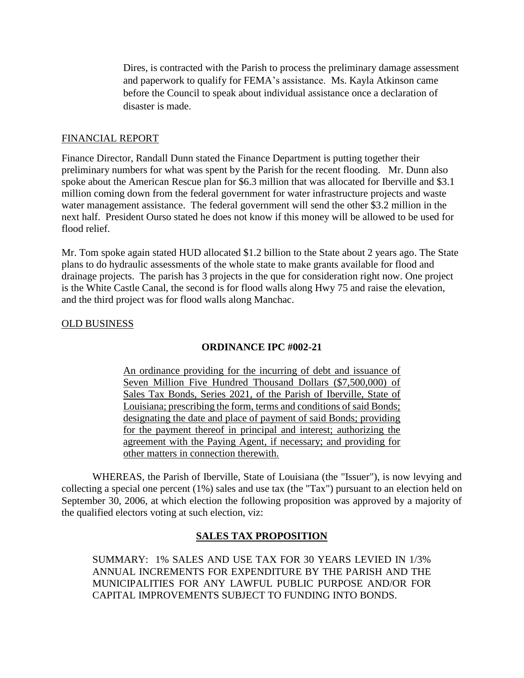Dires, is contracted with the Parish to process the preliminary damage assessment and paperwork to qualify for FEMA's assistance. Ms. Kayla Atkinson came before the Council to speak about individual assistance once a declaration of disaster is made.

#### FINANCIAL REPORT

Finance Director, Randall Dunn stated the Finance Department is putting together their preliminary numbers for what was spent by the Parish for the recent flooding. Mr. Dunn also spoke about the American Rescue plan for \$6.3 million that was allocated for Iberville and \$3.1 million coming down from the federal government for water infrastructure projects and waste water management assistance. The federal government will send the other \$3.2 million in the next half. President Ourso stated he does not know if this money will be allowed to be used for flood relief.

Mr. Tom spoke again stated HUD allocated \$1.2 billion to the State about 2 years ago. The State plans to do hydraulic assessments of the whole state to make grants available for flood and drainage projects. The parish has 3 projects in the que for consideration right now. One project is the White Castle Canal, the second is for flood walls along Hwy 75 and raise the elevation, and the third project was for flood walls along Manchac.

#### OLD BUSINESS

### **ORDINANCE IPC #002-21**

An ordinance providing for the incurring of debt and issuance of Seven Million Five Hundred Thousand Dollars (\$7,500,000) of Sales Tax Bonds, Series 2021, of the Parish of Iberville, State of Louisiana; prescribing the form, terms and conditions of said Bonds; designating the date and place of payment of said Bonds; providing for the payment thereof in principal and interest; authorizing the agreement with the Paying Agent, if necessary; and providing for other matters in connection therewith.

WHEREAS, the Parish of Iberville, State of Louisiana (the "Issuer"), is now levying and collecting a special one percent (1%) sales and use tax (the "Tax") pursuant to an election held on September 30, 2006, at which election the following proposition was approved by a majority of the qualified electors voting at such election, viz:

### **SALES TAX PROPOSITION**

SUMMARY: 1% SALES AND USE TAX FOR 30 YEARS LEVIED IN 1/3% ANNUAL INCREMENTS FOR EXPENDITURE BY THE PARISH AND THE MUNICIPALITIES FOR ANY LAWFUL PUBLIC PURPOSE AND/OR FOR CAPITAL IMPROVEMENTS SUBJECT TO FUNDING INTO BONDS.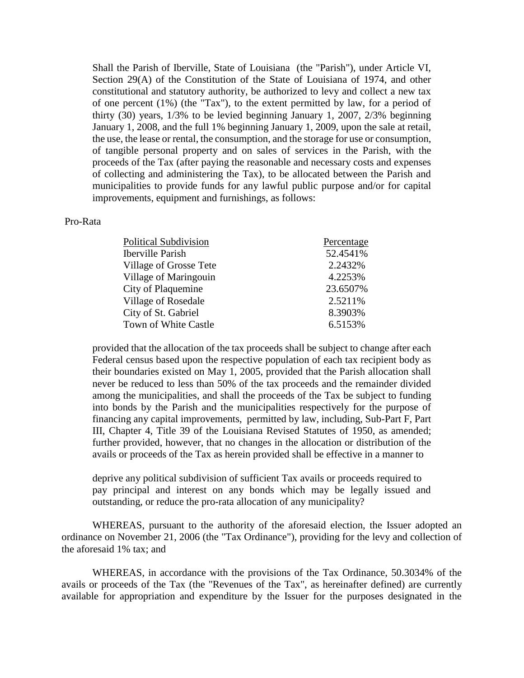Shall the Parish of Iberville, State of Louisiana (the "Parish"), under Article VI, Section 29(A) of the Constitution of the State of Louisiana of 1974, and other constitutional and statutory authority, be authorized to levy and collect a new tax of one percent (1%) (the "Tax"), to the extent permitted by law, for a period of thirty (30) years, 1/3% to be levied beginning January 1, 2007, 2/3% beginning January 1, 2008, and the full 1% beginning January 1, 2009, upon the sale at retail, the use, the lease or rental, the consumption, and the storage for use or consumption, of tangible personal property and on sales of services in the Parish, with the proceeds of the Tax (after paying the reasonable and necessary costs and expenses of collecting and administering the Tax), to be allocated between the Parish and municipalities to provide funds for any lawful public purpose and/or for capital improvements, equipment and furnishings, as follows:

### Pro-Rata

| <b>Political Subdivision</b> | Percentage |
|------------------------------|------------|
| Iberville Parish             | 52.4541%   |
| Village of Grosse Tete       | 2.2432%    |
| Village of Maringouin        | 4.2253%    |
| City of Plaquemine           | 23.6507%   |
| Village of Rosedale          | 2.5211%    |
| City of St. Gabriel          | 8.3903%    |
| Town of White Castle         | 6.5153%    |
|                              |            |

provided that the allocation of the tax proceeds shall be subject to change after each Federal census based upon the respective population of each tax recipient body as their boundaries existed on May 1, 2005, provided that the Parish allocation shall never be reduced to less than 50% of the tax proceeds and the remainder divided among the municipalities, and shall the proceeds of the Tax be subject to funding into bonds by the Parish and the municipalities respectively for the purpose of financing any capital improvements, permitted by law, including, Sub-Part F, Part III, Chapter 4, Title 39 of the Louisiana Revised Statutes of 1950, as amended; further provided, however, that no changes in the allocation or distribution of the avails or proceeds of the Tax as herein provided shall be effective in a manner to

deprive any political subdivision of sufficient Tax avails or proceeds required to pay principal and interest on any bonds which may be legally issued and outstanding, or reduce the pro-rata allocation of any municipality?

WHEREAS, pursuant to the authority of the aforesaid election, the Issuer adopted an ordinance on November 21, 2006 (the "Tax Ordinance"), providing for the levy and collection of the aforesaid 1% tax; and

WHEREAS, in accordance with the provisions of the Tax Ordinance, 50.3034% of the avails or proceeds of the Tax (the "Revenues of the Tax", as hereinafter defined) are currently available for appropriation and expenditure by the Issuer for the purposes designated in the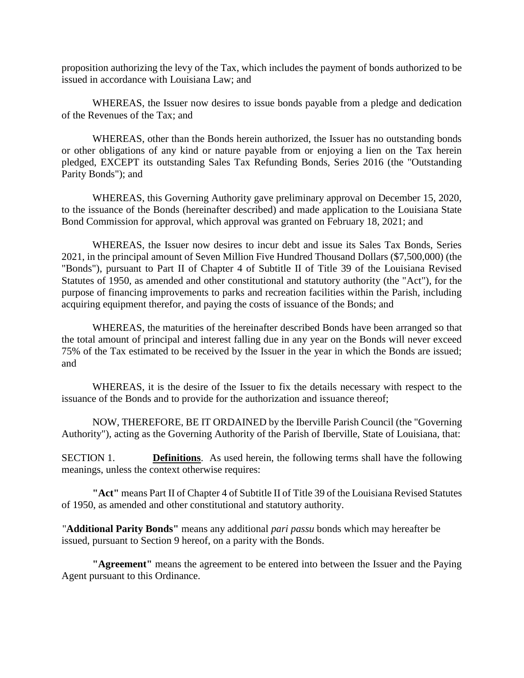proposition authorizing the levy of the Tax, which includes the payment of bonds authorized to be issued in accordance with Louisiana Law; and

WHEREAS, the Issuer now desires to issue bonds payable from a pledge and dedication of the Revenues of the Tax; and

WHEREAS, other than the Bonds herein authorized, the Issuer has no outstanding bonds or other obligations of any kind or nature payable from or enjoying a lien on the Tax herein pledged, EXCEPT its outstanding Sales Tax Refunding Bonds, Series 2016 (the "Outstanding Parity Bonds"); and

WHEREAS, this Governing Authority gave preliminary approval on December 15, 2020, to the issuance of the Bonds (hereinafter described) and made application to the Louisiana State Bond Commission for approval, which approval was granted on February 18, 2021; and

WHEREAS, the Issuer now desires to incur debt and issue its Sales Tax Bonds, Series 2021, in the principal amount of Seven Million Five Hundred Thousand Dollars (\$7,500,000) (the "Bonds"), pursuant to Part II of Chapter 4 of Subtitle II of Title 39 of the Louisiana Revised Statutes of 1950, as amended and other constitutional and statutory authority (the "Act"), for the purpose of financing improvements to parks and recreation facilities within the Parish, including acquiring equipment therefor, and paying the costs of issuance of the Bonds; and

WHEREAS, the maturities of the hereinafter described Bonds have been arranged so that the total amount of principal and interest falling due in any year on the Bonds will never exceed 75% of the Tax estimated to be received by the Issuer in the year in which the Bonds are issued; and

WHEREAS, it is the desire of the Issuer to fix the details necessary with respect to the issuance of the Bonds and to provide for the authorization and issuance thereof;

NOW, THEREFORE, BE IT ORDAINED by the Iberville Parish Council (the "Governing Authority"), acting as the Governing Authority of the Parish of Iberville, State of Louisiana, that:

SECTION 1. **Definitions**. As used herein, the following terms shall have the following meanings, unless the context otherwise requires:

**"Act"** means Part II of Chapter 4 of Subtitle II of Title 39 of the Louisiana Revised Statutes of 1950, as amended and other constitutional and statutory authority.

"**Additional Parity Bonds"** means any additional *pari passu* bonds which may hereafter be issued, pursuant to Section 9 hereof, on a parity with the Bonds.

**"Agreement"** means the agreement to be entered into between the Issuer and the Paying Agent pursuant to this Ordinance.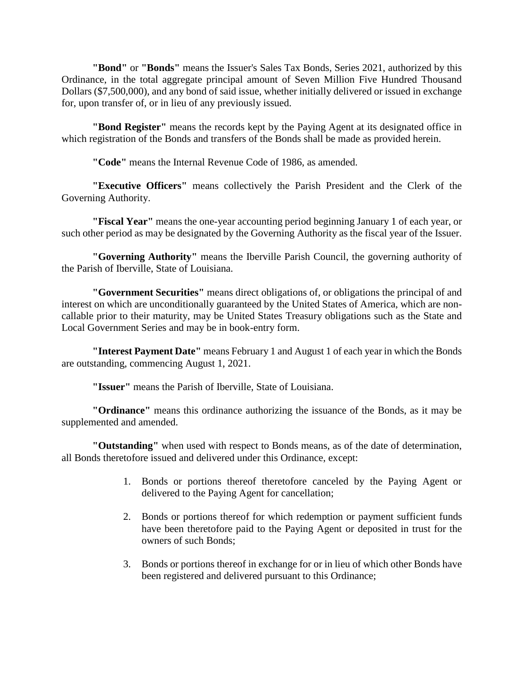**"Bond"** or **"Bonds"** means the Issuer's Sales Tax Bonds, Series 2021, authorized by this Ordinance, in the total aggregate principal amount of Seven Million Five Hundred Thousand Dollars (\$7,500,000), and any bond of said issue, whether initially delivered or issued in exchange for, upon transfer of, or in lieu of any previously issued.

**"Bond Register"** means the records kept by the Paying Agent at its designated office in which registration of the Bonds and transfers of the Bonds shall be made as provided herein.

**"Code"** means the Internal Revenue Code of 1986, as amended.

**"Executive Officers"** means collectively the Parish President and the Clerk of the Governing Authority.

**"Fiscal Year"** means the one-year accounting period beginning January 1 of each year, or such other period as may be designated by the Governing Authority as the fiscal year of the Issuer.

**"Governing Authority"** means the Iberville Parish Council, the governing authority of the Parish of Iberville, State of Louisiana.

**"Government Securities"** means direct obligations of, or obligations the principal of and interest on which are unconditionally guaranteed by the United States of America, which are noncallable prior to their maturity, may be United States Treasury obligations such as the State and Local Government Series and may be in book-entry form.

**"Interest Payment Date"** means February 1 and August 1 of each year in which the Bonds are outstanding, commencing August 1, 2021.

**"Issuer"** means the Parish of Iberville, State of Louisiana.

**"Ordinance"** means this ordinance authorizing the issuance of the Bonds, as it may be supplemented and amended.

**"Outstanding"** when used with respect to Bonds means, as of the date of determination, all Bonds theretofore issued and delivered under this Ordinance, except:

- 1. Bonds or portions thereof theretofore canceled by the Paying Agent or delivered to the Paying Agent for cancellation;
- 2. Bonds or portions thereof for which redemption or payment sufficient funds have been theretofore paid to the Paying Agent or deposited in trust for the owners of such Bonds;
- 3. Bonds or portions thereof in exchange for or in lieu of which other Bonds have been registered and delivered pursuant to this Ordinance;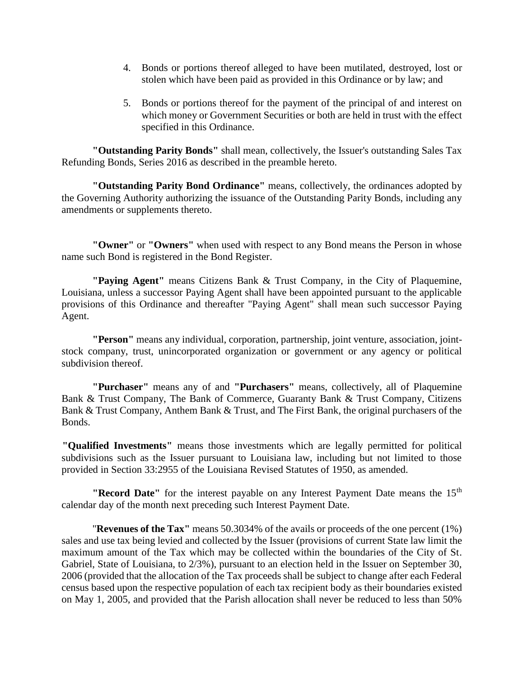- 4. Bonds or portions thereof alleged to have been mutilated, destroyed, lost or stolen which have been paid as provided in this Ordinance or by law; and
- 5. Bonds or portions thereof for the payment of the principal of and interest on which money or Government Securities or both are held in trust with the effect specified in this Ordinance.

**"Outstanding Parity Bonds"** shall mean, collectively, the Issuer's outstanding Sales Tax Refunding Bonds, Series 2016 as described in the preamble hereto.

**"Outstanding Parity Bond Ordinance"** means, collectively, the ordinances adopted by the Governing Authority authorizing the issuance of the Outstanding Parity Bonds, including any amendments or supplements thereto.

**"Owner"** or **"Owners"** when used with respect to any Bond means the Person in whose name such Bond is registered in the Bond Register.

**"Paying Agent"** means Citizens Bank & Trust Company, in the City of Plaquemine, Louisiana, unless a successor Paying Agent shall have been appointed pursuant to the applicable provisions of this Ordinance and thereafter "Paying Agent" shall mean such successor Paying Agent.

**"Person"** means any individual, corporation, partnership, joint venture, association, jointstock company, trust, unincorporated organization or government or any agency or political subdivision thereof.

**"Purchaser"** means any of and **"Purchasers"** means, collectively, all of Plaquemine Bank & Trust Company, The Bank of Commerce, Guaranty Bank & Trust Company, Citizens Bank & Trust Company, Anthem Bank & Trust, and The First Bank, the original purchasers of the Bonds.

**"Qualified Investments"** means those investments which are legally permitted for political subdivisions such as the Issuer pursuant to Louisiana law, including but not limited to those provided in Section 33:2955 of the Louisiana Revised Statutes of 1950, as amended.

**"Record Date"** for the interest payable on any Interest Payment Date means the 15<sup>th</sup> calendar day of the month next preceding such Interest Payment Date.

"**Revenues of the Tax"** means 50.3034% of the avails or proceeds of the one percent (1%) sales and use tax being levied and collected by the Issuer (provisions of current State law limit the maximum amount of the Tax which may be collected within the boundaries of the City of St. Gabriel, State of Louisiana, to 2/3%), pursuant to an election held in the Issuer on September 30, 2006 (provided that the allocation of the Tax proceeds shall be subject to change after each Federal census based upon the respective population of each tax recipient body as their boundaries existed on May 1, 2005, and provided that the Parish allocation shall never be reduced to less than 50%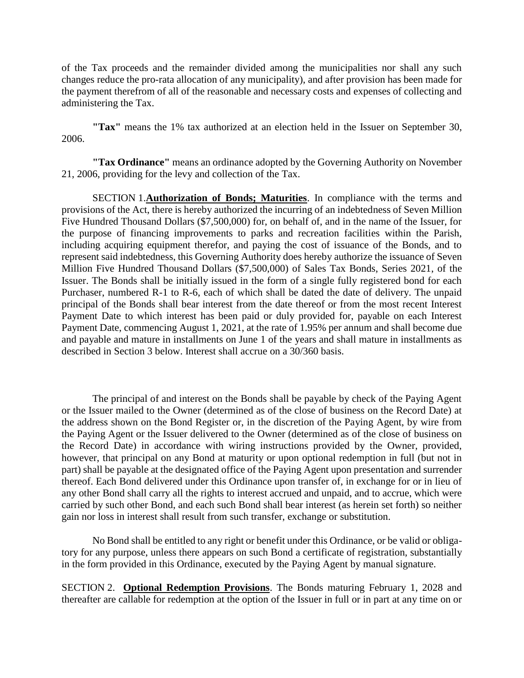of the Tax proceeds and the remainder divided among the municipalities nor shall any such changes reduce the pro-rata allocation of any municipality), and after provision has been made for the payment therefrom of all of the reasonable and necessary costs and expenses of collecting and administering the Tax.

**"Tax"** means the 1% tax authorized at an election held in the Issuer on September 30, 2006.

**"Tax Ordinance"** means an ordinance adopted by the Governing Authority on November 21, 2006, providing for the levy and collection of the Tax.

SECTION 1.**Authorization of Bonds; Maturities**. In compliance with the terms and provisions of the Act, there is hereby authorized the incurring of an indebtedness of Seven Million Five Hundred Thousand Dollars (\$7,500,000) for, on behalf of, and in the name of the Issuer, for the purpose of financing improvements to parks and recreation facilities within the Parish, including acquiring equipment therefor, and paying the cost of issuance of the Bonds, and to represent said indebtedness, this Governing Authority does hereby authorize the issuance of Seven Million Five Hundred Thousand Dollars (\$7,500,000) of Sales Tax Bonds, Series 2021, of the Issuer. The Bonds shall be initially issued in the form of a single fully registered bond for each Purchaser, numbered R-1 to R-6, each of which shall be dated the date of delivery. The unpaid principal of the Bonds shall bear interest from the date thereof or from the most recent Interest Payment Date to which interest has been paid or duly provided for, payable on each Interest Payment Date, commencing August 1, 2021, at the rate of 1.95% per annum and shall become due and payable and mature in installments on June 1 of the years and shall mature in installments as described in Section 3 below. Interest shall accrue on a 30/360 basis.

The principal of and interest on the Bonds shall be payable by check of the Paying Agent or the Issuer mailed to the Owner (determined as of the close of business on the Record Date) at the address shown on the Bond Register or, in the discretion of the Paying Agent, by wire from the Paying Agent or the Issuer delivered to the Owner (determined as of the close of business on the Record Date) in accordance with wiring instructions provided by the Owner, provided, however, that principal on any Bond at maturity or upon optional redemption in full (but not in part) shall be payable at the designated office of the Paying Agent upon presentation and surrender thereof. Each Bond delivered under this Ordinance upon transfer of, in exchange for or in lieu of any other Bond shall carry all the rights to interest accrued and unpaid, and to accrue, which were carried by such other Bond, and each such Bond shall bear interest (as herein set forth) so neither gain nor loss in interest shall result from such transfer, exchange or substitution.

No Bond shall be entitled to any right or benefit under this Ordinance, or be valid or obligatory for any purpose, unless there appears on such Bond a certificate of registration, substantially in the form provided in this Ordinance, executed by the Paying Agent by manual signature.

SECTION 2. **Optional Redemption Provisions**. The Bonds maturing February 1, 2028 and thereafter are callable for redemption at the option of the Issuer in full or in part at any time on or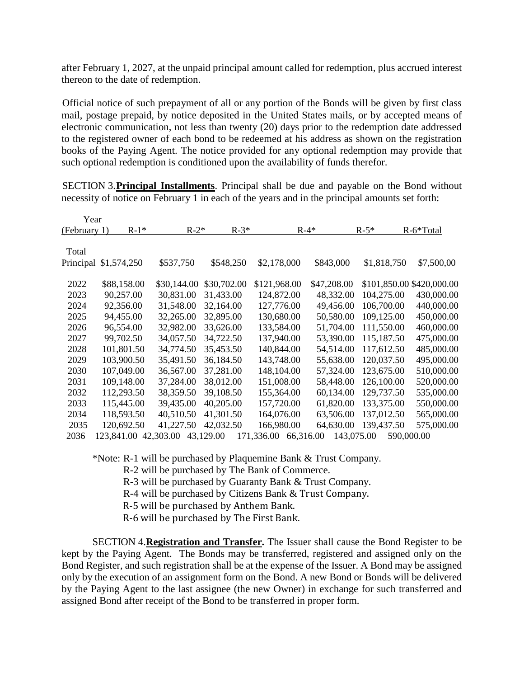after February 1, 2027, at the unpaid principal amount called for redemption, plus accrued interest thereon to the date of redemption.

Official notice of such prepayment of all or any portion of the Bonds will be given by first class mail, postage prepaid, by notice deposited in the United States mails, or by accepted means of electronic communication, not less than twenty (20) days prior to the redemption date addressed to the registered owner of each bond to be redeemed at his address as shown on the registration books of the Paying Agent. The notice provided for any optional redemption may provide that such optional redemption is conditioned upon the availability of funds therefor.

SECTION 3.**Principal Installments**. Principal shall be due and payable on the Bond without necessity of notice on February 1 in each of the years and in the principal amounts set forth:

| Year         |                       |             |             |              |                         |             |                           |
|--------------|-----------------------|-------------|-------------|--------------|-------------------------|-------------|---------------------------|
| (February 1) | $R-1*$                | $R-2*$      | $R-3*$      |              | $R - 4*$                | $R-5*$      | R-6*Total                 |
| Total        | Principal \$1,574,250 | \$537,750   | \$548,250   | \$2,178,000  | \$843,000               | \$1,818,750 | \$7,500,00                |
| 2022         | \$88,158.00           | \$30,144.00 | \$30,702.00 | \$121,968.00 | \$47,208.00             |             | \$101,850.00 \$420,000.00 |
| 2023         | 90,257.00             | 30,831.00   | 31,433.00   | 124,872.00   | 48,332.00               | 104,275.00  | 430,000.00                |
| 2024         | 92,356.00             | 31,548.00   | 32,164.00   | 127,776.00   | 49,456.00               | 106,700.00  | 440,000.00                |
| 2025         | 94,455.00             | 32,265.00   | 32,895.00   | 130,680.00   | 50,580.00               | 109,125.00  | 450,000.00                |
| 2026         | 96,554.00             | 32,982.00   | 33,626.00   | 133,584.00   | 51,704.00               | 111,550.00  | 460,000.00                |
| 2027         | 99,702.50             | 34,057.50   | 34,722.50   | 137,940.00   | 53,390.00               | 115,187.50  | 475,000.00                |
| 2028         | 101,801.50            | 34,774.50   | 35,453.50   | 140,844.00   | 54,514.00               | 117,612.50  | 485,000.00                |
| 2029         | 103,900.50            | 35,491.50   | 36,184.50   | 143,748.00   | 55,638.00               | 120,037.50  | 495,000.00                |
| 2030         | 107,049.00            | 36,567.00   | 37,281.00   | 148,104.00   | 57,324.00               | 123,675.00  | 510,000.00                |
| 2031         | 109,148.00            | 37,284.00   | 38,012.00   | 151,008.00   | 58,448.00               | 126,100.00  | 520,000.00                |
| 2032         | 112,293.50            | 38,359.50   | 39,108.50   | 155,364.00   | 60,134.00               | 129,737.50  | 535,000.00                |
| 2033         | 115,445.00            | 39,435.00   | 40,205.00   | 157,720.00   | 61,820.00               | 133,375.00  | 550,000.00                |
| 2034         | 118,593.50            | 40,510.50   | 41,301.50   | 164,076.00   | 63,506.00               | 137,012.50  | 565,000.00                |
| 2035         | 120,692.50            | 41,227.50   | 42,032.50   | 166,980.00   | 64,630.00               | 139,437.50  | 575,000.00                |
| 2036         | 123,841.00            | 42,303.00   | 43,129.00   | 171,336.00   | 143,075.00<br>66,316.00 |             | 590,000.00                |

\*Note: R-1 will be purchased by Plaquemine Bank & Trust Company.

R-2 will be purchased by The Bank of Commerce.

R-3 will be purchased by Guaranty Bank & Trust Company.

R-4 will be purchased by Citizens Bank & Trust Company.

R-5 will be purchased by Anthem Bank.

R-6 will be purchased by The First Bank.

SECTION 4.**Registration and Transfer.** The Issuer shall cause the Bond Register to be kept by the Paying Agent. The Bonds may be transferred, registered and assigned only on the Bond Register, and such registration shall be at the expense of the Issuer. A Bond may be assigned only by the execution of an assignment form on the Bond. A new Bond or Bonds will be delivered by the Paying Agent to the last assignee (the new Owner) in exchange for such transferred and assigned Bond after receipt of the Bond to be transferred in proper form.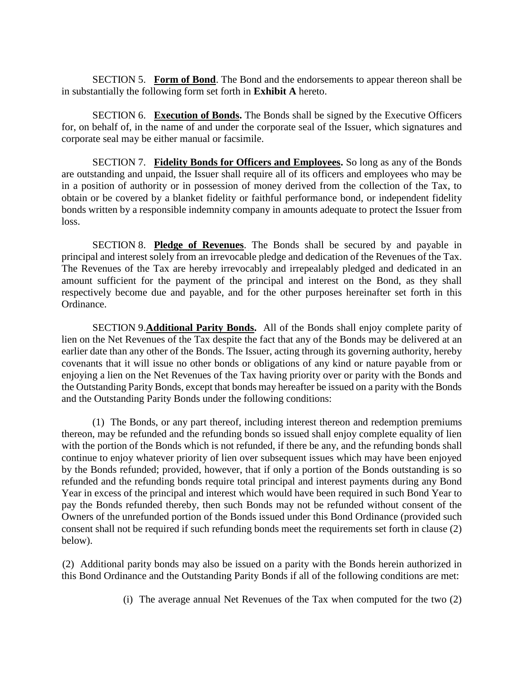SECTION 5. **Form of Bond**. The Bond and the endorsements to appear thereon shall be in substantially the following form set forth in **Exhibit A** hereto.

SECTION 6. **Execution of Bonds.** The Bonds shall be signed by the Executive Officers for, on behalf of, in the name of and under the corporate seal of the Issuer, which signatures and corporate seal may be either manual or facsimile.

SECTION 7. **Fidelity Bonds for Officers and Employees.** So long as any of the Bonds are outstanding and unpaid, the Issuer shall require all of its officers and employees who may be in a position of authority or in possession of money derived from the collection of the Tax, to obtain or be covered by a blanket fidelity or faithful performance bond, or independent fidelity bonds written by a responsible indemnity company in amounts adequate to protect the Issuer from loss.

SECTION 8. **Pledge of Revenues**. The Bonds shall be secured by and payable in principal and interest solely from an irrevocable pledge and dedication of the Revenues of the Tax. The Revenues of the Tax are hereby irrevocably and irrepealably pledged and dedicated in an amount sufficient for the payment of the principal and interest on the Bond, as they shall respectively become due and payable, and for the other purposes hereinafter set forth in this Ordinance.

SECTION 9.**Additional Parity Bonds.** All of the Bonds shall enjoy complete parity of lien on the Net Revenues of the Tax despite the fact that any of the Bonds may be delivered at an earlier date than any other of the Bonds. The Issuer, acting through its governing authority, hereby covenants that it will issue no other bonds or obligations of any kind or nature payable from or enjoying a lien on the Net Revenues of the Tax having priority over or parity with the Bonds and the Outstanding Parity Bonds, except that bonds may hereafter be issued on a parity with the Bonds and the Outstanding Parity Bonds under the following conditions:

(1) The Bonds, or any part thereof, including interest thereon and redemption premiums thereon, may be refunded and the refunding bonds so issued shall enjoy complete equality of lien with the portion of the Bonds which is not refunded, if there be any, and the refunding bonds shall continue to enjoy whatever priority of lien over subsequent issues which may have been enjoyed by the Bonds refunded; provided, however, that if only a portion of the Bonds outstanding is so refunded and the refunding bonds require total principal and interest payments during any Bond Year in excess of the principal and interest which would have been required in such Bond Year to pay the Bonds refunded thereby, then such Bonds may not be refunded without consent of the Owners of the unrefunded portion of the Bonds issued under this Bond Ordinance (provided such consent shall not be required if such refunding bonds meet the requirements set forth in clause (2) below).

(2) Additional parity bonds may also be issued on a parity with the Bonds herein authorized in this Bond Ordinance and the Outstanding Parity Bonds if all of the following conditions are met:

(i) The average annual Net Revenues of the Tax when computed for the two (2)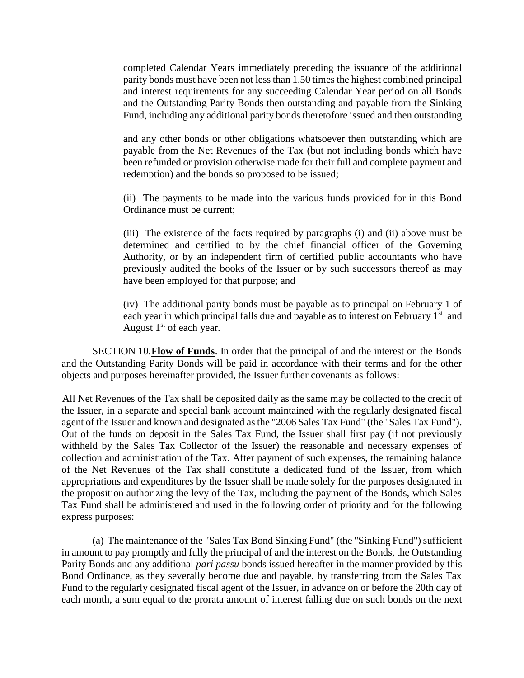completed Calendar Years immediately preceding the issuance of the additional parity bonds must have been not less than 1.50 times the highest combined principal and interest requirements for any succeeding Calendar Year period on all Bonds and the Outstanding Parity Bonds then outstanding and payable from the Sinking Fund, including any additional parity bonds theretofore issued and then outstanding

and any other bonds or other obligations whatsoever then outstanding which are payable from the Net Revenues of the Tax (but not including bonds which have been refunded or provision otherwise made for their full and complete payment and redemption) and the bonds so proposed to be issued;

(ii) The payments to be made into the various funds provided for in this Bond Ordinance must be current;

(iii) The existence of the facts required by paragraphs (i) and (ii) above must be determined and certified to by the chief financial officer of the Governing Authority, or by an independent firm of certified public accountants who have previously audited the books of the Issuer or by such successors thereof as may have been employed for that purpose; and

(iv) The additional parity bonds must be payable as to principal on February 1 of each year in which principal falls due and payable as to interest on February 1<sup>st</sup> and August  $1<sup>st</sup>$  of each year.

SECTION 10.**Flow of Funds**. In order that the principal of and the interest on the Bonds and the Outstanding Parity Bonds will be paid in accordance with their terms and for the other objects and purposes hereinafter provided, the Issuer further covenants as follows:

All Net Revenues of the Tax shall be deposited daily as the same may be collected to the credit of the Issuer, in a separate and special bank account maintained with the regularly designated fiscal agent of the Issuer and known and designated as the "2006 Sales Tax Fund" (the "Sales Tax Fund"). Out of the funds on deposit in the Sales Tax Fund, the Issuer shall first pay (if not previously withheld by the Sales Tax Collector of the Issuer) the reasonable and necessary expenses of collection and administration of the Tax. After payment of such expenses, the remaining balance of the Net Revenues of the Tax shall constitute a dedicated fund of the Issuer, from which appropriations and expenditures by the Issuer shall be made solely for the purposes designated in the proposition authorizing the levy of the Tax, including the payment of the Bonds, which Sales Tax Fund shall be administered and used in the following order of priority and for the following express purposes:

(a) The maintenance of the "Sales Tax Bond Sinking Fund" (the "Sinking Fund") sufficient in amount to pay promptly and fully the principal of and the interest on the Bonds, the Outstanding Parity Bonds and any additional *pari passu* bonds issued hereafter in the manner provided by this Bond Ordinance, as they severally become due and payable, by transferring from the Sales Tax Fund to the regularly designated fiscal agent of the Issuer, in advance on or before the 20th day of each month, a sum equal to the prorata amount of interest falling due on such bonds on the next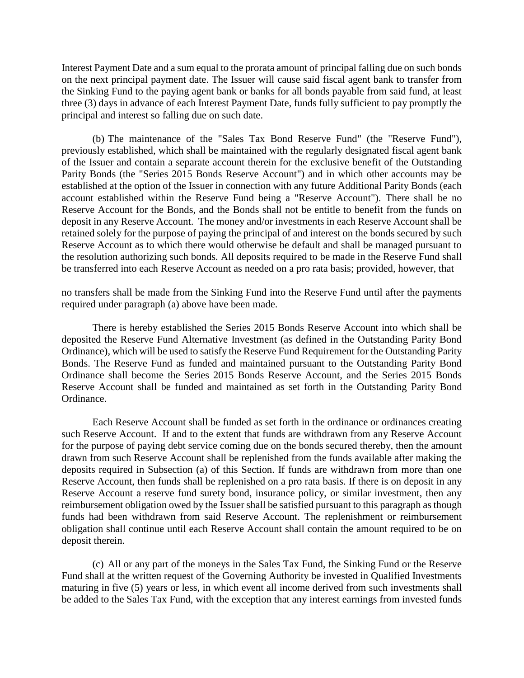Interest Payment Date and a sum equal to the prorata amount of principal falling due on such bonds on the next principal payment date. The Issuer will cause said fiscal agent bank to transfer from the Sinking Fund to the paying agent bank or banks for all bonds payable from said fund, at least three (3) days in advance of each Interest Payment Date, funds fully sufficient to pay promptly the principal and interest so falling due on such date.

(b) The maintenance of the "Sales Tax Bond Reserve Fund" (the "Reserve Fund"), previously established, which shall be maintained with the regularly designated fiscal agent bank of the Issuer and contain a separate account therein for the exclusive benefit of the Outstanding Parity Bonds (the "Series 2015 Bonds Reserve Account") and in which other accounts may be established at the option of the Issuer in connection with any future Additional Parity Bonds (each account established within the Reserve Fund being a "Reserve Account"). There shall be no Reserve Account for the Bonds, and the Bonds shall not be entitle to benefit from the funds on deposit in any Reserve Account. The money and/or investments in each Reserve Account shall be retained solely for the purpose of paying the principal of and interest on the bonds secured by such Reserve Account as to which there would otherwise be default and shall be managed pursuant to the resolution authorizing such bonds. All deposits required to be made in the Reserve Fund shall be transferred into each Reserve Account as needed on a pro rata basis; provided, however, that

no transfers shall be made from the Sinking Fund into the Reserve Fund until after the payments required under paragraph (a) above have been made.

There is hereby established the Series 2015 Bonds Reserve Account into which shall be deposited the Reserve Fund Alternative Investment (as defined in the Outstanding Parity Bond Ordinance), which will be used to satisfy the Reserve Fund Requirement for the Outstanding Parity Bonds. The Reserve Fund as funded and maintained pursuant to the Outstanding Parity Bond Ordinance shall become the Series 2015 Bonds Reserve Account, and the Series 2015 Bonds Reserve Account shall be funded and maintained as set forth in the Outstanding Parity Bond Ordinance.

Each Reserve Account shall be funded as set forth in the ordinance or ordinances creating such Reserve Account. If and to the extent that funds are withdrawn from any Reserve Account for the purpose of paying debt service coming due on the bonds secured thereby, then the amount drawn from such Reserve Account shall be replenished from the funds available after making the deposits required in Subsection (a) of this Section. If funds are withdrawn from more than one Reserve Account, then funds shall be replenished on a pro rata basis. If there is on deposit in any Reserve Account a reserve fund surety bond, insurance policy, or similar investment, then any reimbursement obligation owed by the Issuer shall be satisfied pursuant to this paragraph as though funds had been withdrawn from said Reserve Account. The replenishment or reimbursement obligation shall continue until each Reserve Account shall contain the amount required to be on deposit therein.

(c) All or any part of the moneys in the Sales Tax Fund, the Sinking Fund or the Reserve Fund shall at the written request of the Governing Authority be invested in Qualified Investments maturing in five (5) years or less, in which event all income derived from such investments shall be added to the Sales Tax Fund, with the exception that any interest earnings from invested funds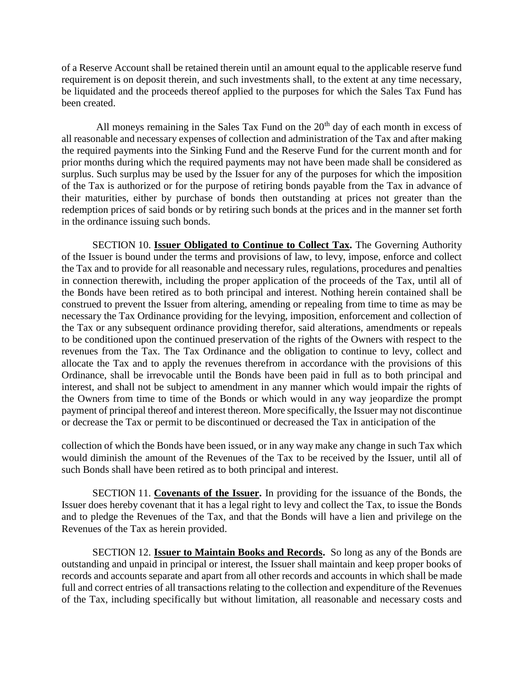of a Reserve Account shall be retained therein until an amount equal to the applicable reserve fund requirement is on deposit therein, and such investments shall, to the extent at any time necessary, be liquidated and the proceeds thereof applied to the purposes for which the Sales Tax Fund has been created.

All moneys remaining in the Sales Tax Fund on the  $20<sup>th</sup>$  day of each month in excess of all reasonable and necessary expenses of collection and administration of the Tax and after making the required payments into the Sinking Fund and the Reserve Fund for the current month and for prior months during which the required payments may not have been made shall be considered as surplus. Such surplus may be used by the Issuer for any of the purposes for which the imposition of the Tax is authorized or for the purpose of retiring bonds payable from the Tax in advance of their maturities, either by purchase of bonds then outstanding at prices not greater than the redemption prices of said bonds or by retiring such bonds at the prices and in the manner set forth in the ordinance issuing such bonds.

SECTION 10. **Issuer Obligated to Continue to Collect Tax.** The Governing Authority of the Issuer is bound under the terms and provisions of law, to levy, impose, enforce and collect the Tax and to provide for all reasonable and necessary rules, regulations, procedures and penalties in connection therewith, including the proper application of the proceeds of the Tax, until all of the Bonds have been retired as to both principal and interest. Nothing herein contained shall be construed to prevent the Issuer from altering, amending or repealing from time to time as may be necessary the Tax Ordinance providing for the levying, imposition, enforcement and collection of the Tax or any subsequent ordinance providing therefor, said alterations, amendments or repeals to be conditioned upon the continued preservation of the rights of the Owners with respect to the revenues from the Tax. The Tax Ordinance and the obligation to continue to levy, collect and allocate the Tax and to apply the revenues therefrom in accordance with the provisions of this Ordinance, shall be irrevocable until the Bonds have been paid in full as to both principal and interest, and shall not be subject to amendment in any manner which would impair the rights of the Owners from time to time of the Bonds or which would in any way jeopardize the prompt payment of principal thereof and interest thereon. More specifically, the Issuer may not discontinue or decrease the Tax or permit to be discontinued or decreased the Tax in anticipation of the

collection of which the Bonds have been issued, or in any way make any change in such Tax which would diminish the amount of the Revenues of the Tax to be received by the Issuer, until all of such Bonds shall have been retired as to both principal and interest.

SECTION 11. **Covenants of the Issuer.** In providing for the issuance of the Bonds, the Issuer does hereby covenant that it has a legal right to levy and collect the Tax, to issue the Bonds and to pledge the Revenues of the Tax, and that the Bonds will have a lien and privilege on the Revenues of the Tax as herein provided.

SECTION 12. **Issuer to Maintain Books and Records.** So long as any of the Bonds are outstanding and unpaid in principal or interest, the Issuer shall maintain and keep proper books of records and accounts separate and apart from all other records and accounts in which shall be made full and correct entries of all transactions relating to the collection and expenditure of the Revenues of the Tax, including specifically but without limitation, all reasonable and necessary costs and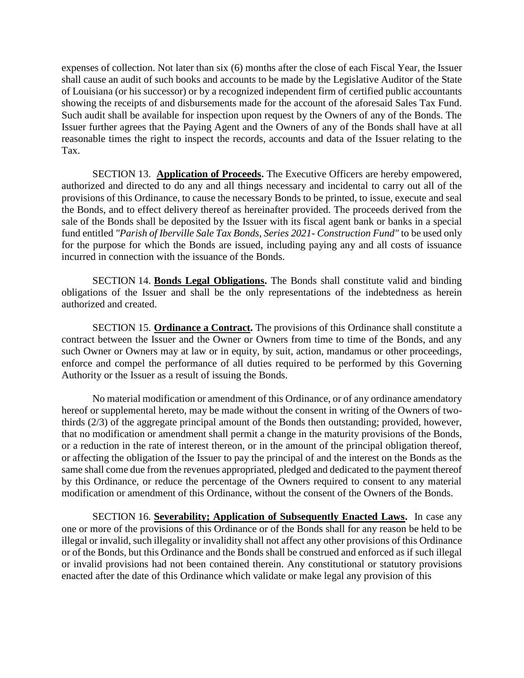expenses of collection. Not later than six (6) months after the close of each Fiscal Year, the Issuer shall cause an audit of such books and accounts to be made by the Legislative Auditor of the State of Louisiana (or his successor) or by a recognized independent firm of certified public accountants showing the receipts of and disbursements made for the account of the aforesaid Sales Tax Fund. Such audit shall be available for inspection upon request by the Owners of any of the Bonds. The Issuer further agrees that the Paying Agent and the Owners of any of the Bonds shall have at all reasonable times the right to inspect the records, accounts and data of the Issuer relating to the Tax.

SECTION 13. **Application of Proceeds.** The Executive Officers are hereby empowered, authorized and directed to do any and all things necessary and incidental to carry out all of the provisions of this Ordinance, to cause the necessary Bonds to be printed, to issue, execute and seal the Bonds, and to effect delivery thereof as hereinafter provided. The proceeds derived from the sale of the Bonds shall be deposited by the Issuer with its fiscal agent bank or banks in a special fund entitled *"Parish of Iberville Sale Tax Bonds, Series 2021- Construction Fund"* to be used only for the purpose for which the Bonds are issued, including paying any and all costs of issuance incurred in connection with the issuance of the Bonds.

SECTION 14. **Bonds Legal Obligations.** The Bonds shall constitute valid and binding obligations of the Issuer and shall be the only representations of the indebtedness as herein authorized and created.

SECTION 15. **Ordinance a Contract.** The provisions of this Ordinance shall constitute a contract between the Issuer and the Owner or Owners from time to time of the Bonds, and any such Owner or Owners may at law or in equity, by suit, action, mandamus or other proceedings, enforce and compel the performance of all duties required to be performed by this Governing Authority or the Issuer as a result of issuing the Bonds.

No material modification or amendment of this Ordinance, or of any ordinance amendatory hereof or supplemental hereto, may be made without the consent in writing of the Owners of twothirds (2/3) of the aggregate principal amount of the Bonds then outstanding; provided, however, that no modification or amendment shall permit a change in the maturity provisions of the Bonds, or a reduction in the rate of interest thereon, or in the amount of the principal obligation thereof, or affecting the obligation of the Issuer to pay the principal of and the interest on the Bonds as the same shall come due from the revenues appropriated, pledged and dedicated to the payment thereof by this Ordinance, or reduce the percentage of the Owners required to consent to any material modification or amendment of this Ordinance, without the consent of the Owners of the Bonds.

SECTION 16. **Severability; Application of Subsequently Enacted Laws.** In case any one or more of the provisions of this Ordinance or of the Bonds shall for any reason be held to be illegal or invalid, such illegality or invalidity shall not affect any other provisions of this Ordinance or of the Bonds, but this Ordinance and the Bonds shall be construed and enforced as if such illegal or invalid provisions had not been contained therein. Any constitutional or statutory provisions enacted after the date of this Ordinance which validate or make legal any provision of this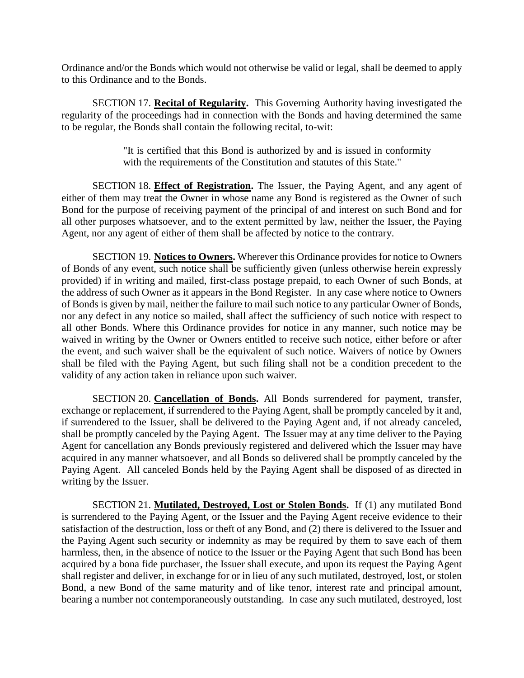Ordinance and/or the Bonds which would not otherwise be valid or legal, shall be deemed to apply to this Ordinance and to the Bonds.

SECTION 17. **Recital of Regularity.** This Governing Authority having investigated the regularity of the proceedings had in connection with the Bonds and having determined the same to be regular, the Bonds shall contain the following recital, to-wit:

> "It is certified that this Bond is authorized by and is issued in conformity with the requirements of the Constitution and statutes of this State."

SECTION 18. **Effect of Registration.** The Issuer, the Paying Agent, and any agent of either of them may treat the Owner in whose name any Bond is registered as the Owner of such Bond for the purpose of receiving payment of the principal of and interest on such Bond and for all other purposes whatsoever, and to the extent permitted by law, neither the Issuer, the Paying Agent, nor any agent of either of them shall be affected by notice to the contrary.

SECTION 19. **Notices to Owners.** Wherever this Ordinance provides for notice to Owners of Bonds of any event, such notice shall be sufficiently given (unless otherwise herein expressly provided) if in writing and mailed, first-class postage prepaid, to each Owner of such Bonds, at the address of such Owner as it appears in the Bond Register. In any case where notice to Owners of Bonds is given by mail, neither the failure to mail such notice to any particular Owner of Bonds, nor any defect in any notice so mailed, shall affect the sufficiency of such notice with respect to all other Bonds. Where this Ordinance provides for notice in any manner, such notice may be waived in writing by the Owner or Owners entitled to receive such notice, either before or after the event, and such waiver shall be the equivalent of such notice. Waivers of notice by Owners shall be filed with the Paying Agent, but such filing shall not be a condition precedent to the validity of any action taken in reliance upon such waiver.

SECTION 20. **Cancellation of Bonds.** All Bonds surrendered for payment, transfer, exchange or replacement, if surrendered to the Paying Agent, shall be promptly canceled by it and, if surrendered to the Issuer, shall be delivered to the Paying Agent and, if not already canceled, shall be promptly canceled by the Paying Agent. The Issuer may at any time deliver to the Paying Agent for cancellation any Bonds previously registered and delivered which the Issuer may have acquired in any manner whatsoever, and all Bonds so delivered shall be promptly canceled by the Paying Agent. All canceled Bonds held by the Paying Agent shall be disposed of as directed in writing by the Issuer.

SECTION 21. **Mutilated, Destroyed, Lost or Stolen Bonds.** If (1) any mutilated Bond is surrendered to the Paying Agent, or the Issuer and the Paying Agent receive evidence to their satisfaction of the destruction, loss or theft of any Bond, and (2) there is delivered to the Issuer and the Paying Agent such security or indemnity as may be required by them to save each of them harmless, then, in the absence of notice to the Issuer or the Paying Agent that such Bond has been acquired by a bona fide purchaser, the Issuer shall execute, and upon its request the Paying Agent shall register and deliver, in exchange for or in lieu of any such mutilated, destroyed, lost, or stolen Bond, a new Bond of the same maturity and of like tenor, interest rate and principal amount, bearing a number not contemporaneously outstanding. In case any such mutilated, destroyed, lost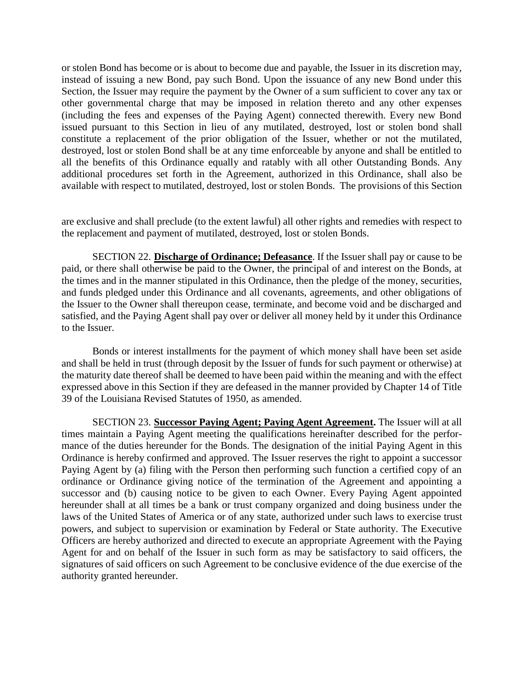or stolen Bond has become or is about to become due and payable, the Issuer in its discretion may, instead of issuing a new Bond, pay such Bond. Upon the issuance of any new Bond under this Section, the Issuer may require the payment by the Owner of a sum sufficient to cover any tax or other governmental charge that may be imposed in relation thereto and any other expenses (including the fees and expenses of the Paying Agent) connected therewith. Every new Bond issued pursuant to this Section in lieu of any mutilated, destroyed, lost or stolen bond shall constitute a replacement of the prior obligation of the Issuer, whether or not the mutilated, destroyed, lost or stolen Bond shall be at any time enforceable by anyone and shall be entitled to all the benefits of this Ordinance equally and ratably with all other Outstanding Bonds. Any additional procedures set forth in the Agreement, authorized in this Ordinance, shall also be available with respect to mutilated, destroyed, lost or stolen Bonds. The provisions of this Section

are exclusive and shall preclude (to the extent lawful) all other rights and remedies with respect to the replacement and payment of mutilated, destroyed, lost or stolen Bonds.

SECTION 22. **Discharge of Ordinance; Defeasance**. If the Issuer shall pay or cause to be paid, or there shall otherwise be paid to the Owner, the principal of and interest on the Bonds, at the times and in the manner stipulated in this Ordinance, then the pledge of the money, securities, and funds pledged under this Ordinance and all covenants, agreements, and other obligations of the Issuer to the Owner shall thereupon cease, terminate, and become void and be discharged and satisfied, and the Paying Agent shall pay over or deliver all money held by it under this Ordinance to the Issuer.

Bonds or interest installments for the payment of which money shall have been set aside and shall be held in trust (through deposit by the Issuer of funds for such payment or otherwise) at the maturity date thereof shall be deemed to have been paid within the meaning and with the effect expressed above in this Section if they are defeased in the manner provided by Chapter 14 of Title 39 of the Louisiana Revised Statutes of 1950, as amended.

SECTION 23. **Successor Paying Agent; Paying Agent Agreement.** The Issuer will at all times maintain a Paying Agent meeting the qualifications hereinafter described for the performance of the duties hereunder for the Bonds. The designation of the initial Paying Agent in this Ordinance is hereby confirmed and approved. The Issuer reserves the right to appoint a successor Paying Agent by (a) filing with the Person then performing such function a certified copy of an ordinance or Ordinance giving notice of the termination of the Agreement and appointing a successor and (b) causing notice to be given to each Owner. Every Paying Agent appointed hereunder shall at all times be a bank or trust company organized and doing business under the laws of the United States of America or of any state, authorized under such laws to exercise trust powers, and subject to supervision or examination by Federal or State authority. The Executive Officers are hereby authorized and directed to execute an appropriate Agreement with the Paying Agent for and on behalf of the Issuer in such form as may be satisfactory to said officers, the signatures of said officers on such Agreement to be conclusive evidence of the due exercise of the authority granted hereunder.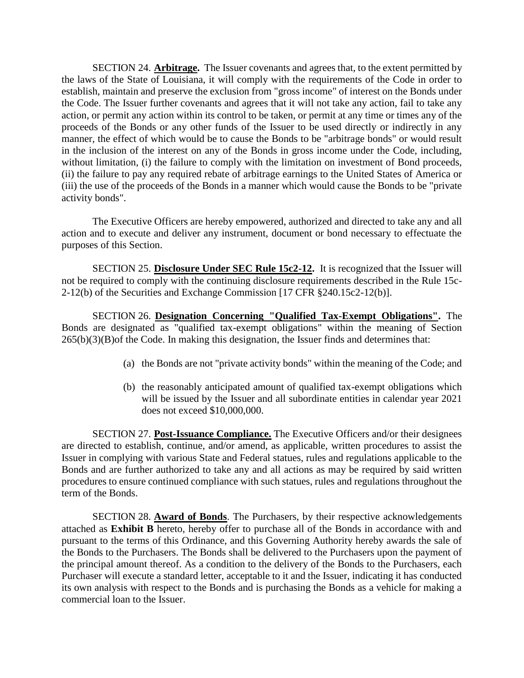SECTION 24. **Arbitrage.** The Issuer covenants and agrees that, to the extent permitted by the laws of the State of Louisiana, it will comply with the requirements of the Code in order to establish, maintain and preserve the exclusion from "gross income" of interest on the Bonds under the Code. The Issuer further covenants and agrees that it will not take any action, fail to take any action, or permit any action within its control to be taken, or permit at any time or times any of the proceeds of the Bonds or any other funds of the Issuer to be used directly or indirectly in any manner, the effect of which would be to cause the Bonds to be "arbitrage bonds" or would result in the inclusion of the interest on any of the Bonds in gross income under the Code, including, without limitation, (i) the failure to comply with the limitation on investment of Bond proceeds, (ii) the failure to pay any required rebate of arbitrage earnings to the United States of America or (iii) the use of the proceeds of the Bonds in a manner which would cause the Bonds to be "private activity bonds".

The Executive Officers are hereby empowered, authorized and directed to take any and all action and to execute and deliver any instrument, document or bond necessary to effectuate the purposes of this Section.

SECTION 25. **Disclosure Under SEC Rule 15c2-12.** It is recognized that the Issuer will not be required to comply with the continuing disclosure requirements described in the Rule 15c-2-12(b) of the Securities and Exchange Commission [17 CFR §240.15c2-12(b)].

SECTION 26. **Designation Concerning "Qualified Tax-Exempt Obligations".** The Bonds are designated as "qualified tax-exempt obligations" within the meaning of Section  $265(b)(3)(B)$  of the Code. In making this designation, the Issuer finds and determines that:

- (a) the Bonds are not "private activity bonds" within the meaning of the Code; and
- (b) the reasonably anticipated amount of qualified tax-exempt obligations which will be issued by the Issuer and all subordinate entities in calendar year 2021 does not exceed \$10,000,000.

SECTION 27. **Post-Issuance Compliance.** The Executive Officers and/or their designees are directed to establish, continue, and/or amend, as applicable, written procedures to assist the Issuer in complying with various State and Federal statues, rules and regulations applicable to the Bonds and are further authorized to take any and all actions as may be required by said written procedures to ensure continued compliance with such statues, rules and regulations throughout the term of the Bonds.

SECTION 28. **Award of Bonds**. The Purchasers, by their respective acknowledgements attached as **Exhibit B** hereto, hereby offer to purchase all of the Bonds in accordance with and pursuant to the terms of this Ordinance, and this Governing Authority hereby awards the sale of the Bonds to the Purchasers. The Bonds shall be delivered to the Purchasers upon the payment of the principal amount thereof. As a condition to the delivery of the Bonds to the Purchasers, each Purchaser will execute a standard letter, acceptable to it and the Issuer, indicating it has conducted its own analysis with respect to the Bonds and is purchasing the Bonds as a vehicle for making a commercial loan to the Issuer.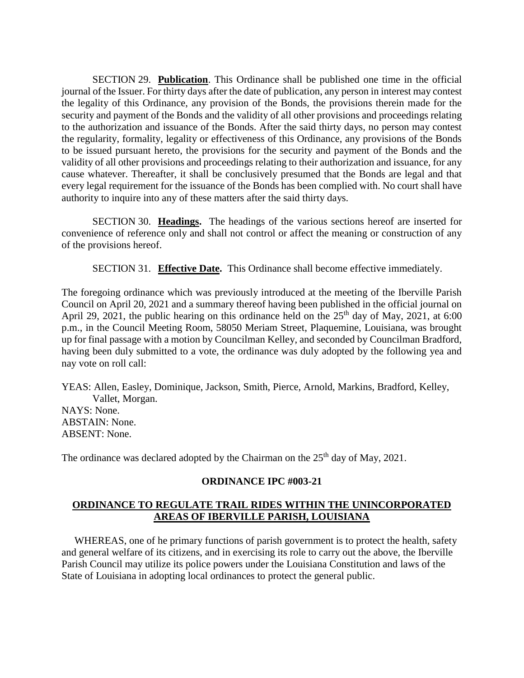SECTION 29. **Publication**. This Ordinance shall be published one time in the official journal of the Issuer. For thirty days after the date of publication, any person in interest may contest the legality of this Ordinance, any provision of the Bonds, the provisions therein made for the security and payment of the Bonds and the validity of all other provisions and proceedings relating to the authorization and issuance of the Bonds. After the said thirty days, no person may contest the regularity, formality, legality or effectiveness of this Ordinance, any provisions of the Bonds to be issued pursuant hereto, the provisions for the security and payment of the Bonds and the validity of all other provisions and proceedings relating to their authorization and issuance, for any cause whatever. Thereafter, it shall be conclusively presumed that the Bonds are legal and that every legal requirement for the issuance of the Bonds has been complied with. No court shall have authority to inquire into any of these matters after the said thirty days.

SECTION 30. **Headings.** The headings of the various sections hereof are inserted for convenience of reference only and shall not control or affect the meaning or construction of any of the provisions hereof.

SECTION 31. **Effective Date.** This Ordinance shall become effective immediately.

The foregoing ordinance which was previously introduced at the meeting of the Iberville Parish Council on April 20, 2021 and a summary thereof having been published in the official journal on April 29, 2021, the public hearing on this ordinance held on the  $25<sup>th</sup>$  day of May, 2021, at 6:00 p.m., in the Council Meeting Room, 58050 Meriam Street, Plaquemine, Louisiana, was brought up for final passage with a motion by Councilman Kelley, and seconded by Councilman Bradford, having been duly submitted to a vote, the ordinance was duly adopted by the following yea and nay vote on roll call:

YEAS: Allen, Easley, Dominique, Jackson, Smith, Pierce, Arnold, Markins, Bradford, Kelley, Vallet, Morgan.

NAYS: None. ABSTAIN: None. ABSENT: None.

The ordinance was declared adopted by the Chairman on the  $25<sup>th</sup>$  day of May, 2021.

### **ORDINANCE IPC #003-21**

### **ORDINANCE TO REGULATE TRAIL RIDES WITHIN THE UNINCORPORATED AREAS OF IBERVILLE PARISH, LOUISIANA**

 WHEREAS, one of he primary functions of parish government is to protect the health, safety and general welfare of its citizens, and in exercising its role to carry out the above, the Iberville Parish Council may utilize its police powers under the Louisiana Constitution and laws of the State of Louisiana in adopting local ordinances to protect the general public.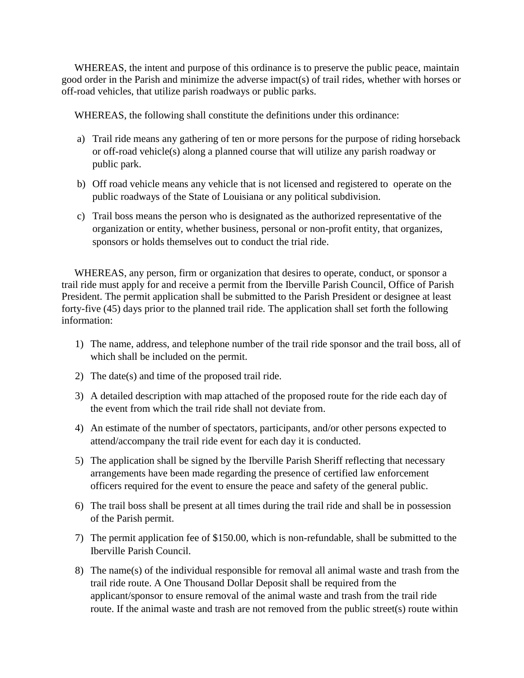WHEREAS, the intent and purpose of this ordinance is to preserve the public peace, maintain good order in the Parish and minimize the adverse impact(s) of trail rides, whether with horses or off-road vehicles, that utilize parish roadways or public parks.

WHEREAS, the following shall constitute the definitions under this ordinance:

- a) Trail ride means any gathering of ten or more persons for the purpose of riding horseback or off-road vehicle(s) along a planned course that will utilize any parish roadway or public park.
- b) Off road vehicle means any vehicle that is not licensed and registered to operate on the public roadways of the State of Louisiana or any political subdivision.
- c) Trail boss means the person who is designated as the authorized representative of the organization or entity, whether business, personal or non-profit entity, that organizes, sponsors or holds themselves out to conduct the trial ride.

 WHEREAS, any person, firm or organization that desires to operate, conduct, or sponsor a trail ride must apply for and receive a permit from the Iberville Parish Council, Office of Parish President. The permit application shall be submitted to the Parish President or designee at least forty-five (45) days prior to the planned trail ride. The application shall set forth the following information:

- 1) The name, address, and telephone number of the trail ride sponsor and the trail boss, all of which shall be included on the permit.
- 2) The date(s) and time of the proposed trail ride.
- 3) A detailed description with map attached of the proposed route for the ride each day of the event from which the trail ride shall not deviate from.
- 4) An estimate of the number of spectators, participants, and/or other persons expected to attend/accompany the trail ride event for each day it is conducted.
- 5) The application shall be signed by the Iberville Parish Sheriff reflecting that necessary arrangements have been made regarding the presence of certified law enforcement officers required for the event to ensure the peace and safety of the general public.
- 6) The trail boss shall be present at all times during the trail ride and shall be in possession of the Parish permit.
- 7) The permit application fee of \$150.00, which is non-refundable, shall be submitted to the Iberville Parish Council.
- 8) The name(s) of the individual responsible for removal all animal waste and trash from the trail ride route. A One Thousand Dollar Deposit shall be required from the applicant/sponsor to ensure removal of the animal waste and trash from the trail ride route. If the animal waste and trash are not removed from the public street(s) route within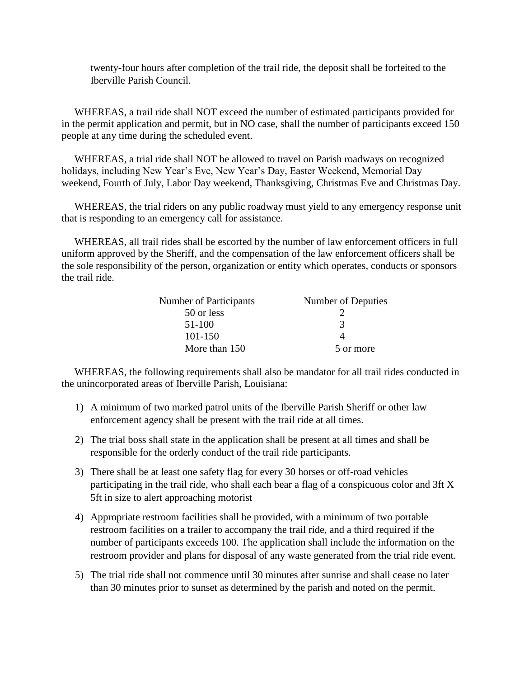twenty-four hours after completion of the trail ride, the deposit shall be forfeited to the Iberville Parish Council.

 WHEREAS, a trail ride shall NOT exceed the number of estimated participants provided for in the permit application and permit, but in NO case, shall the number of participants exceed 150 people at any time during the scheduled event.

 WHEREAS, a trial ride shall NOT be allowed to travel on Parish roadways on recognized holidays, including New Year's Eve, New Year's Day, Easter Weekend, Memorial Day weekend, Fourth of July, Labor Day weekend, Thanksgiving, Christmas Eve and Christmas Day.

 WHEREAS, the trial riders on any public roadway must yield to any emergency response unit that is responding to an emergency call for assistance.

 WHEREAS, all trail rides shall be escorted by the number of law enforcement officers in full uniform approved by the Sheriff, and the compensation of the law enforcement officers shall be the sole responsibility of the person, organization or entity which operates, conducts or sponsors the trail ride.

| Number of Participants | Number of Deputies |  |  |
|------------------------|--------------------|--|--|
| 50 or less             |                    |  |  |
| 51-100                 | 3                  |  |  |
| $101 - 150$            |                    |  |  |
| More than 150          | 5 or more          |  |  |

 WHEREAS, the following requirements shall also be mandator for all trail rides conducted in the unincorporated areas of Iberville Parish, Louisiana:

- 1) A minimum of two marked patrol units of the Iberville Parish Sheriff or other law enforcement agency shall be present with the trail ride at all times.
- 2) The trial boss shall state in the application shall be present at all times and shall be responsible for the orderly conduct of the trail ride participants.
- 3) There shall be at least one safety flag for every 30 horses or off-road vehicles participating in the trail ride, who shall each bear a flag of a conspicuous color and 3ft X 5ft in size to alert approaching motorist
- 4) Appropriate restroom facilities shall be provided, with a minimum of two portable restroom facilities on a trailer to accompany the trail ride, and a third required if the number of participants exceeds 100. The application shall include the information on the restroom provider and plans for disposal of any waste generated from the trial ride event.
- 5) The trial ride shall not commence until 30 minutes after sunrise and shall cease no later than 30 minutes prior to sunset as determined by the parish and noted on the permit.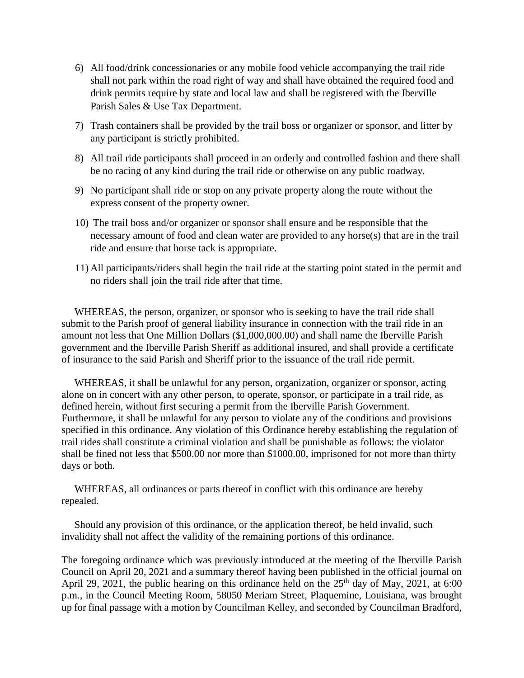- 6) All food/drink concessionaries or any mobile food vehicle accompanying the trail ride shall not park within the road right of way and shall have obtained the required food and drink permits require by state and local law and shall be registered with the Iberville Parish Sales & Use Tax Department.
- 7) Trash containers shall be provided by the trail boss or organizer or sponsor, and litter by any participant is strictly prohibited.
- 8) All trail ride participants shall proceed in an orderly and controlled fashion and there shall be no racing of any kind during the trail ride or otherwise on any public roadway.
- 9) No participant shall ride or stop on any private property along the route without the express consent of the property owner.
- 10) The trail boss and/or organizer or sponsor shall ensure and be responsible that the necessary amount of food and clean water are provided to any horse(s) that are in the trail ride and ensure that horse tack is appropriate.
- 11) All participants/riders shall begin the trail ride at the starting point stated in the permit and no riders shall join the trail ride after that time.

 WHEREAS, the person, organizer, or sponsor who is seeking to have the trail ride shall submit to the Parish proof of general liability insurance in connection with the trail ride in an amount not less that One Million Dollars (\$1,000,000.00) and shall name the Iberville Parish government and the Iberville Parish Sheriff as additional insured, and shall provide a certificate of insurance to the said Parish and Sheriff prior to the issuance of the trail ride permit.

 WHEREAS, it shall be unlawful for any person, organization, organizer or sponsor, acting alone on in concert with any other person, to operate, sponsor, or participate in a trail ride, as defined herein, without first securing a permit from the Iberville Parish Government. Furthermore, it shall be unlawful for any person to violate any of the conditions and provisions specified in this ordinance. Any violation of this Ordinance hereby establishing the regulation of trail rides shall constitute a criminal violation and shall be punishable as follows: the violator shall be fined not less that \$500.00 nor more than \$1000.00, imprisoned for not more than thirty days or both.

 WHEREAS, all ordinances or parts thereof in conflict with this ordinance are hereby repealed.

 Should any provision of this ordinance, or the application thereof, be held invalid, such invalidity shall not affect the validity of the remaining portions of this ordinance.

The foregoing ordinance which was previously introduced at the meeting of the Iberville Parish Council on April 20, 2021 and a summary thereof having been published in the official journal on April 29, 2021, the public hearing on this ordinance held on the  $25<sup>th</sup>$  day of May, 2021, at 6:00 p.m., in the Council Meeting Room, 58050 Meriam Street, Plaquemine, Louisiana, was brought up for final passage with a motion by Councilman Kelley, and seconded by Councilman Bradford,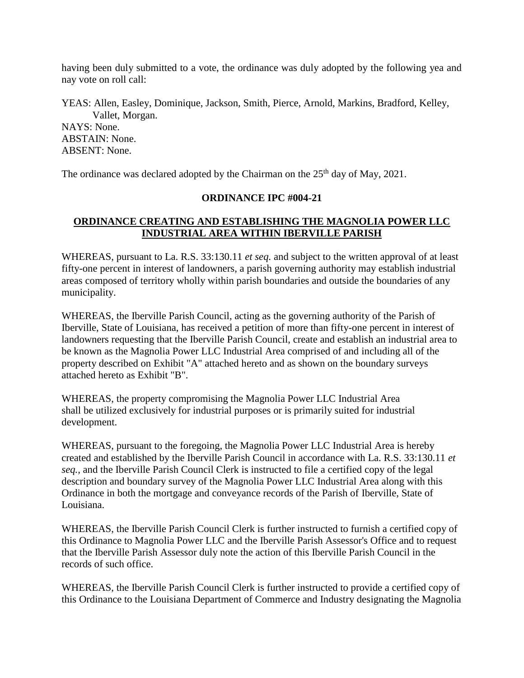having been duly submitted to a vote, the ordinance was duly adopted by the following yea and nay vote on roll call:

YEAS: Allen, Easley, Dominique, Jackson, Smith, Pierce, Arnold, Markins, Bradford, Kelley, Vallet, Morgan. NAYS: None. ABSTAIN: None. ABSENT: None.

The ordinance was declared adopted by the Chairman on the 25<sup>th</sup> day of May, 2021.

# **ORDINANCE IPC #004-21**

# **ORDINANCE CREATING AND ESTABLISHING THE MAGNOLIA POWER LLC INDUSTRIAL AREA WITHIN IBERVILLE PARISH**

WHEREAS, pursuant to La. R.S. 33:130.11 *et seq.* and subject to the written approval of at least fifty-one percent in interest of landowners, a parish governing authority may establish industrial areas composed of territory wholly within parish boundaries and outside the boundaries of any municipality.

WHEREAS, the Iberville Parish Council, acting as the governing authority of the Parish of Iberville, State of Louisiana, has received a petition of more than fifty-one percent in interest of landowners requesting that the Iberville Parish Council, create and establish an industrial area to be known as the Magnolia Power LLC Industrial Area comprised of and including all of the property described on Exhibit "A" attached hereto and as shown on the boundary surveys attached hereto as Exhibit "B".

WHEREAS, the property compromising the Magnolia Power LLC Industrial Area shall be utilized exclusively for industrial purposes or is primarily suited for industrial development.

WHEREAS, pursuant to the foregoing, the Magnolia Power LLC Industrial Area is hereby created and established by the Iberville Parish Council in accordance with La. R.S. 33:130.11 *et seq.,* and the Iberville Parish Council Clerk is instructed to file a certified copy of the legal description and boundary survey of the Magnolia Power LLC Industrial Area along with this Ordinance in both the mortgage and conveyance records of the Parish of Iberville, State of Louisiana.

WHEREAS, the Iberville Parish Council Clerk is further instructed to furnish a certified copy of this Ordinance to Magnolia Power LLC and the Iberville Parish Assessor's Office and to request that the Iberville Parish Assessor duly note the action of this Iberville Parish Council in the records of such office.

WHEREAS, the Iberville Parish Council Clerk is further instructed to provide a certified copy of this Ordinance to the Louisiana Department of Commerce and Industry designating the Magnolia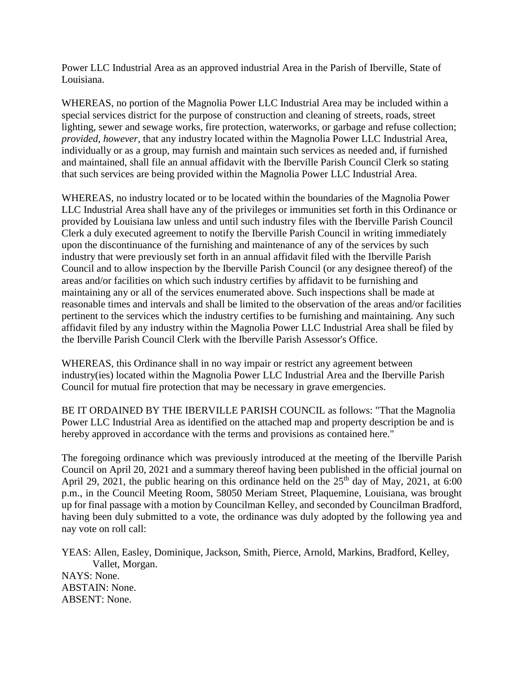Power LLC Industrial Area as an approved industrial Area in the Parish of Iberville, State of Louisiana.

WHEREAS, no portion of the Magnolia Power LLC Industrial Area may be included within a special services district for the purpose of construction and cleaning of streets, roads, street lighting, sewer and sewage works, fire protection, waterworks, or garbage and refuse collection; *provided, however,* that any industry located within the Magnolia Power LLC Industrial Area, individually or as a group, may furnish and maintain such services as needed and, if furnished and maintained, shall file an annual affidavit with the Iberville Parish Council Clerk so stating that such services are being provided within the Magnolia Power LLC Industrial Area.

WHEREAS, no industry located or to be located within the boundaries of the Magnolia Power LLC Industrial Area shall have any of the privileges or immunities set forth in this Ordinance or provided by Louisiana law unless and until such industry files with the Iberville Parish Council Clerk a duly executed agreement to notify the Iberville Parish Council in writing immediately upon the discontinuance of the furnishing and maintenance of any of the services by such industry that were previously set forth in an annual affidavit filed with the Iberville Parish Council and to allow inspection by the Iberville Parish Council (or any designee thereof) of the areas and/or facilities on which such industry certifies by affidavit to be furnishing and maintaining any or all of the services enumerated above. Such inspections shall be made at reasonable times and intervals and shall be limited to the observation of the areas and/or facilities pertinent to the services which the industry certifies to be furnishing and maintaining. Any such affidavit filed by any industry within the Magnolia Power LLC Industrial Area shall be filed by the Iberville Parish Council Clerk with the Iberville Parish Assessor's Office.

WHEREAS, this Ordinance shall in no way impair or restrict any agreement between industry(ies) located within the Magnolia Power LLC Industrial Area and the Iberville Parish Council for mutual fire protection that may be necessary in grave emergencies.

BE IT ORDAINED BY THE IBERVILLE PARISH COUNCIL as follows: "That the Magnolia Power LLC Industrial Area as identified on the attached map and property description be and is hereby approved in accordance with the terms and provisions as contained here."

The foregoing ordinance which was previously introduced at the meeting of the Iberville Parish Council on April 20, 2021 and a summary thereof having been published in the official journal on April 29, 2021, the public hearing on this ordinance held on the  $25<sup>th</sup>$  day of May, 2021, at 6:00 p.m., in the Council Meeting Room, 58050 Meriam Street, Plaquemine, Louisiana, was brought up for final passage with a motion by Councilman Kelley, and seconded by Councilman Bradford, having been duly submitted to a vote, the ordinance was duly adopted by the following yea and nay vote on roll call:

YEAS: Allen, Easley, Dominique, Jackson, Smith, Pierce, Arnold, Markins, Bradford, Kelley, Vallet, Morgan. NAYS: None. ABSTAIN: None. ABSENT: None.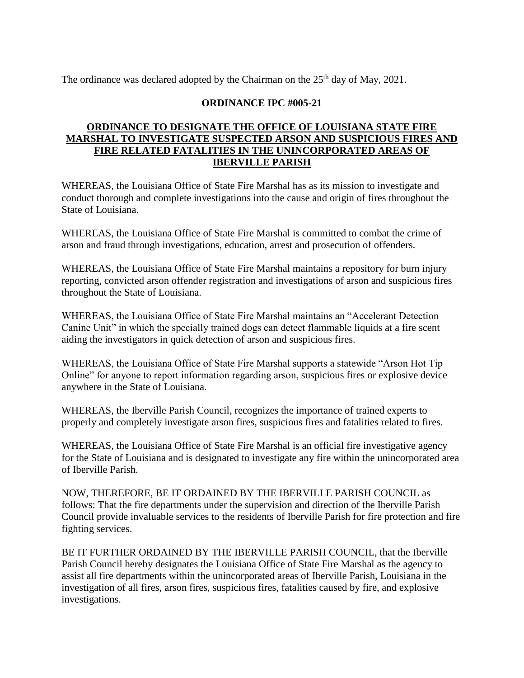The ordinance was declared adopted by the Chairman on the  $25<sup>th</sup>$  day of May, 2021.

# **ORDINANCE IPC #005-21**

# **ORDINANCE TO DESIGNATE THE OFFICE OF LOUISIANA STATE FIRE MARSHAL TO INVESTIGATE SUSPECTED ARSON AND SUSPICIOUS FIRES AND FIRE RELATED FATALITIES IN THE UNINCORPORATED AREAS OF IBERVILLE PARISH**

WHEREAS, the Louisiana Office of State Fire Marshal has as its mission to investigate and conduct thorough and complete investigations into the cause and origin of fires throughout the State of Louisiana.

WHEREAS, the Louisiana Office of State Fire Marshal is committed to combat the crime of arson and fraud through investigations, education, arrest and prosecution of offenders.

WHEREAS, the Louisiana Office of State Fire Marshal maintains a repository for burn injury reporting, convicted arson offender registration and investigations of arson and suspicious fires throughout the State of Louisiana.

WHEREAS, the Louisiana Office of State Fire Marshal maintains an "Accelerant Detection Canine Unit" in which the specially trained dogs can detect flammable liquids at a fire scent aiding the investigators in quick detection of arson and suspicious fires.

WHEREAS, the Louisiana Office of State Fire Marshal supports a statewide "Arson Hot Tip Online" for anyone to report information regarding arson, suspicious fires or explosive device anywhere in the State of Louisiana.

WHEREAS, the Iberville Parish Council, recognizes the importance of trained experts to properly and completely investigate arson fires, suspicious fires and fatalities related to fires.

WHEREAS, the Louisiana Office of State Fire Marshal is an official fire investigative agency for the State of Louisiana and is designated to investigate any fire within the unincorporated area of Iberville Parish.

NOW, THEREFORE, BE IT ORDAINED BY THE IBERVILLE PARISH COUNCIL as follows: That the fire departments under the supervision and direction of the Iberville Parish Council provide invaluable services to the residents of Iberville Parish for fire protection and fire fighting services.

BE IT FURTHER ORDAINED BY THE IBERVILLE PARISH COUNCIL, that the Iberville Parish Council hereby designates the Louisiana Office of State Fire Marshal as the agency to assist all fire departments within the unincorporated areas of Iberville Parish, Louisiana in the investigation of all fires, arson fires, suspicious fires, fatalities caused by fire, and explosive investigations.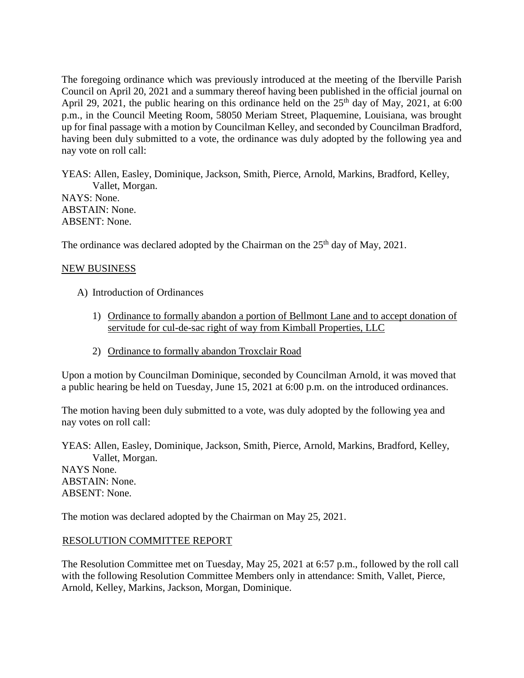The foregoing ordinance which was previously introduced at the meeting of the Iberville Parish Council on April 20, 2021 and a summary thereof having been published in the official journal on April 29, 2021, the public hearing on this ordinance held on the  $25<sup>th</sup>$  day of May, 2021, at 6:00 p.m., in the Council Meeting Room, 58050 Meriam Street, Plaquemine, Louisiana, was brought up for final passage with a motion by Councilman Kelley, and seconded by Councilman Bradford, having been duly submitted to a vote, the ordinance was duly adopted by the following yea and nay vote on roll call:

YEAS: Allen, Easley, Dominique, Jackson, Smith, Pierce, Arnold, Markins, Bradford, Kelley, Vallet, Morgan. NAYS: None. ABSTAIN: None. ABSENT: None.

The ordinance was declared adopted by the Chairman on the  $25<sup>th</sup>$  day of May, 2021.

### NEW BUSINESS

- A) Introduction of Ordinances
	- 1) Ordinance to formally abandon a portion of Bellmont Lane and to accept donation of servitude for cul-de-sac right of way from Kimball Properties, LLC
	- 2) Ordinance to formally abandon Troxclair Road

Upon a motion by Councilman Dominique, seconded by Councilman Arnold, it was moved that a public hearing be held on Tuesday, June 15, 2021 at 6:00 p.m. on the introduced ordinances.

The motion having been duly submitted to a vote, was duly adopted by the following yea and nay votes on roll call:

YEAS: Allen, Easley, Dominique, Jackson, Smith, Pierce, Arnold, Markins, Bradford, Kelley, Vallet, Morgan.

NAYS None. ABSTAIN: None. ABSENT: None.

The motion was declared adopted by the Chairman on May 25, 2021.

### RESOLUTION COMMITTEE REPORT

The Resolution Committee met on Tuesday, May 25, 2021 at 6:57 p.m., followed by the roll call with the following Resolution Committee Members only in attendance: Smith, Vallet, Pierce, Arnold, Kelley, Markins, Jackson, Morgan, Dominique.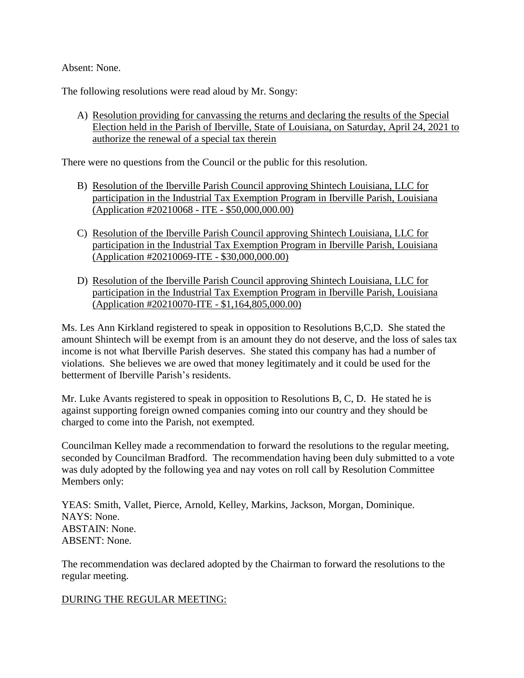Absent: None.

The following resolutions were read aloud by Mr. Songy:

A) Resolution providing for canvassing the returns and declaring the results of the Special Election held in the Parish of Iberville, State of Louisiana, on Saturday, April 24, 2021 to authorize the renewal of a special tax therein

There were no questions from the Council or the public for this resolution.

- B) Resolution of the Iberville Parish Council approving Shintech Louisiana, LLC for participation in the Industrial Tax Exemption Program in Iberville Parish, Louisiana (Application #20210068 - ITE - \$50,000,000.00)
- C) Resolution of the Iberville Parish Council approving Shintech Louisiana, LLC for participation in the Industrial Tax Exemption Program in Iberville Parish, Louisiana (Application #20210069-ITE - \$30,000,000.00)
- D) Resolution of the Iberville Parish Council approving Shintech Louisiana, LLC for participation in the Industrial Tax Exemption Program in Iberville Parish, Louisiana (Application #20210070-ITE - \$1,164,805,000.00)

Ms. Les Ann Kirkland registered to speak in opposition to Resolutions B,C,D. She stated the amount Shintech will be exempt from is an amount they do not deserve, and the loss of sales tax income is not what Iberville Parish deserves. She stated this company has had a number of violations. She believes we are owed that money legitimately and it could be used for the betterment of Iberville Parish's residents.

Mr. Luke Avants registered to speak in opposition to Resolutions B, C, D. He stated he is against supporting foreign owned companies coming into our country and they should be charged to come into the Parish, not exempted.

Councilman Kelley made a recommendation to forward the resolutions to the regular meeting, seconded by Councilman Bradford. The recommendation having been duly submitted to a vote was duly adopted by the following yea and nay votes on roll call by Resolution Committee Members only:

YEAS: Smith, Vallet, Pierce, Arnold, Kelley, Markins, Jackson, Morgan, Dominique. NAYS: None. ABSTAIN: None. ABSENT: None.

The recommendation was declared adopted by the Chairman to forward the resolutions to the regular meeting.

### DURING THE REGULAR MEETING: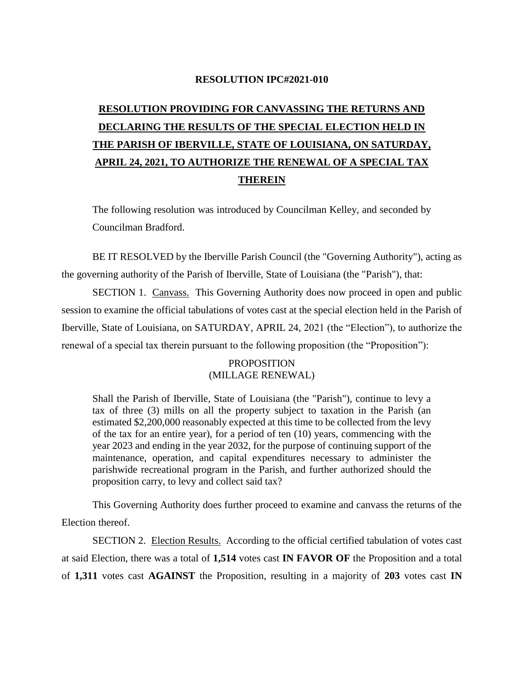#### **RESOLUTION IPC#2021-010**

# **RESOLUTION PROVIDING FOR CANVASSING THE RETURNS AND DECLARING THE RESULTS OF THE SPECIAL ELECTION HELD IN THE PARISH OF IBERVILLE, STATE OF LOUISIANA, ON SATURDAY, APRIL 24, 2021, TO AUTHORIZE THE RENEWAL OF A SPECIAL TAX THEREIN**

The following resolution was introduced by Councilman Kelley, and seconded by Councilman Bradford.

BE IT RESOLVED by the Iberville Parish Council (the "Governing Authority"), acting as the governing authority of the Parish of Iberville, State of Louisiana (the "Parish"), that:

SECTION 1. Canvass. This Governing Authority does now proceed in open and public session to examine the official tabulations of votes cast at the special election held in the Parish of Iberville, State of Louisiana, on SATURDAY, APRIL 24, 2021 (the "Election"), to authorize the renewal of a special tax therein pursuant to the following proposition (the "Proposition"):

# PROPOSITION (MILLAGE RENEWAL)

Shall the Parish of Iberville, State of Louisiana (the "Parish"), continue to levy a tax of three (3) mills on all the property subject to taxation in the Parish (an estimated \$2,200,000 reasonably expected at this time to be collected from the levy of the tax for an entire year), for a period of ten (10) years, commencing with the year 2023 and ending in the year 2032, for the purpose of continuing support of the maintenance, operation, and capital expenditures necessary to administer the parishwide recreational program in the Parish, and further authorized should the proposition carry, to levy and collect said tax?

This Governing Authority does further proceed to examine and canvass the returns of the Election thereof.

SECTION 2. Election Results. According to the official certified tabulation of votes cast at said Election, there was a total of **1,514** votes cast **IN FAVOR OF** the Proposition and a total of **1,311** votes cast **AGAINST** the Proposition, resulting in a majority of **203** votes cast **IN**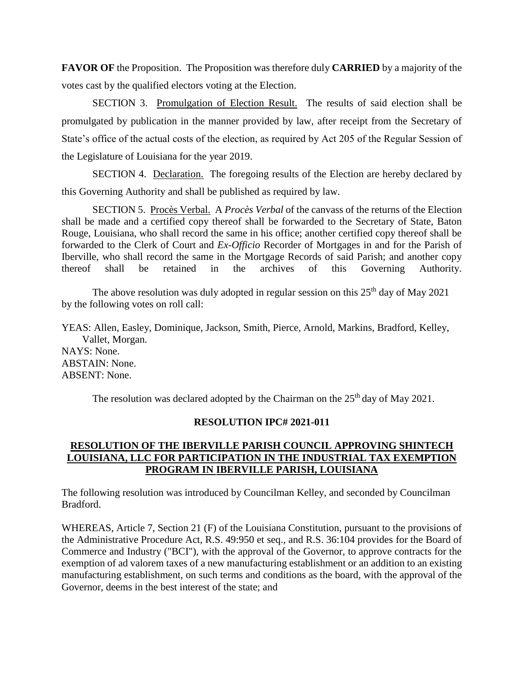**FAVOR OF** the Proposition. The Proposition was therefore duly **CARRIED** by a majority of the votes cast by the qualified electors voting at the Election.

SECTION 3. Promulgation of Election Result. The results of said election shall be promulgated by publication in the manner provided by law, after receipt from the Secretary of State's office of the actual costs of the election, as required by Act 205 of the Regular Session of the Legislature of Louisiana for the year 2019.

SECTION 4. Declaration. The foregoing results of the Election are hereby declared by this Governing Authority and shall be published as required by law.

SECTION 5. Procès Verbal. A *Procès Verbal* of the canvass of the returns of the Election shall be made and a certified copy thereof shall be forwarded to the Secretary of State, Baton Rouge, Louisiana, who shall record the same in his office; another certified copy thereof shall be forwarded to the Clerk of Court and *Ex-Officio* Recorder of Mortgages in and for the Parish of Iberville, who shall record the same in the Mortgage Records of said Parish; and another copy thereof shall be retained in the archives of this Governing Authority.

The above resolution was duly adopted in regular session on this  $25<sup>th</sup>$  day of May 2021 by the following votes on roll call:

YEAS: Allen, Easley, Dominique, Jackson, Smith, Pierce, Arnold, Markins, Bradford, Kelley, Vallet, Morgan. NAYS: None. ABSTAIN: None. ABSENT: None.

The resolution was declared adopted by the Chairman on the  $25<sup>th</sup>$  day of May 2021.

### **RESOLUTION IPC# 2021-011**

# **RESOLUTION OF THE IBERVILLE PARISH COUNCIL APPROVING SHINTECH LOUISIANA, LLC FOR PARTICIPATION IN THE INDUSTRIAL TAX EXEMPTION PROGRAM IN IBERVILLE PARISH, LOUISIANA**

The following resolution was introduced by Councilman Kelley, and seconded by Councilman Bradford.

WHEREAS, Article 7, Section 21 (F) of the Louisiana Constitution, pursuant to the provisions of the Administrative Procedure Act, R.S. 49:950 et seq., and R.S. 36:104 provides for the Board of Commerce and Industry ("BCI"), with the approval of the Governor, to approve contracts for the exemption of ad valorem taxes of a new manufacturing establishment or an addition to an existing manufacturing establishment, on such terms and conditions as the board, with the approval of the Governor, deems in the best interest of the state; and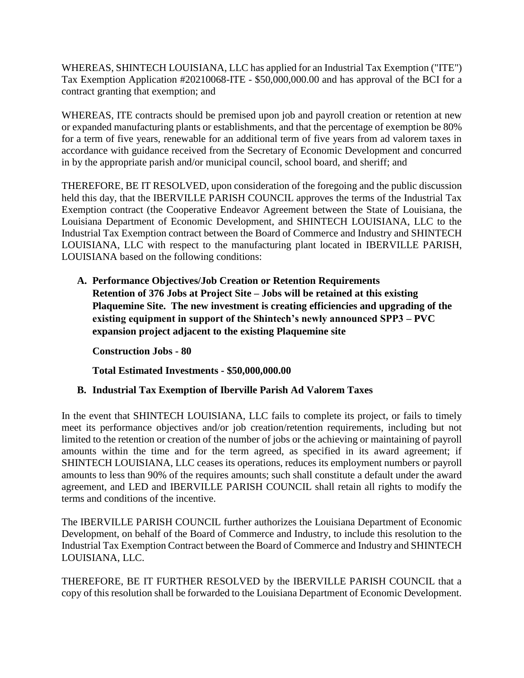WHEREAS, SHINTECH LOUISIANA, LLC has applied for an Industrial Tax Exemption ("ITE") Tax Exemption Application #20210068-ITE - \$50,000,000.00 and has approval of the BCI for a contract granting that exemption; and

WHEREAS, ITE contracts should be premised upon job and payroll creation or retention at new or expanded manufacturing plants or establishments, and that the percentage of exemption be 80% for a term of five years, renewable for an additional term of five years from ad valorem taxes in accordance with guidance received from the Secretary of Economic Development and concurred in by the appropriate parish and/or municipal council, school board, and sheriff; and

THEREFORE, BE IT RESOLVED, upon consideration of the foregoing and the public discussion held this day, that the IBERVILLE PARISH COUNCIL approves the terms of the Industrial Tax Exemption contract (the Cooperative Endeavor Agreement between the State of Louisiana, the Louisiana Department of Economic Development, and SHINTECH LOUISIANA, LLC to the Industrial Tax Exemption contract between the Board of Commerce and Industry and SHINTECH LOUISIANA, LLC with respect to the manufacturing plant located in IBERVILLE PARISH, LOUISIANA based on the following conditions:

**A. Performance Objectives/Job Creation or Retention Requirements Retention of 376 Jobs at Project Site – Jobs will be retained at this existing Plaquemine Site. The new investment is creating efficiencies and upgrading of the existing equipment in support of the Shintech's newly announced SPP3 – PVC expansion project adjacent to the existing Plaquemine site**

**Construction Jobs - 80**

**Total Estimated Investments - \$50,000,000.00**

# **B. Industrial Tax Exemption of Iberville Parish Ad Valorem Taxes**

In the event that SHINTECH LOUISIANA, LLC fails to complete its project, or fails to timely meet its performance objectives and/or job creation/retention requirements, including but not limited to the retention or creation of the number of jobs or the achieving or maintaining of payroll amounts within the time and for the term agreed, as specified in its award agreement; if SHINTECH LOUISIANA, LLC ceases its operations, reduces its employment numbers or payroll amounts to less than 90% of the requires amounts; such shall constitute a default under the award agreement, and LED and IBERVILLE PARISH COUNCIL shall retain all rights to modify the terms and conditions of the incentive.

The IBERVILLE PARISH COUNCIL further authorizes the Louisiana Department of Economic Development, on behalf of the Board of Commerce and Industry, to include this resolution to the Industrial Tax Exemption Contract between the Board of Commerce and Industry and SHINTECH LOUISIANA, LLC.

THEREFORE, BE IT FURTHER RESOLVED by the IBERVILLE PARISH COUNCIL that a copy of this resolution shall be forwarded to the Louisiana Department of Economic Development.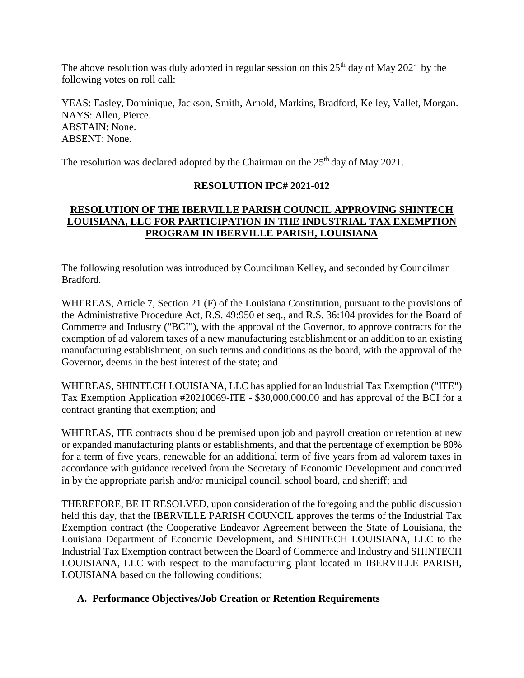The above resolution was duly adopted in regular session on this  $25<sup>th</sup>$  day of May 2021 by the following votes on roll call:

YEAS: Easley, Dominique, Jackson, Smith, Arnold, Markins, Bradford, Kelley, Vallet, Morgan. NAYS: Allen, Pierce. ABSTAIN: None. ABSENT: None.

The resolution was declared adopted by the Chairman on the  $25<sup>th</sup>$  day of May 2021.

# **RESOLUTION IPC# 2021-012**

# **RESOLUTION OF THE IBERVILLE PARISH COUNCIL APPROVING SHINTECH LOUISIANA, LLC FOR PARTICIPATION IN THE INDUSTRIAL TAX EXEMPTION PROGRAM IN IBERVILLE PARISH, LOUISIANA**

The following resolution was introduced by Councilman Kelley, and seconded by Councilman Bradford.

WHEREAS, Article 7, Section 21 (F) of the Louisiana Constitution, pursuant to the provisions of the Administrative Procedure Act, R.S. 49:950 et seq., and R.S. 36:104 provides for the Board of Commerce and Industry ("BCI"), with the approval of the Governor, to approve contracts for the exemption of ad valorem taxes of a new manufacturing establishment or an addition to an existing manufacturing establishment, on such terms and conditions as the board, with the approval of the Governor, deems in the best interest of the state; and

WHEREAS, SHINTECH LOUISIANA, LLC has applied for an Industrial Tax Exemption ("ITE") Tax Exemption Application #20210069-ITE - \$30,000,000.00 and has approval of the BCI for a contract granting that exemption; and

WHEREAS, ITE contracts should be premised upon job and payroll creation or retention at new or expanded manufacturing plants or establishments, and that the percentage of exemption be 80% for a term of five years, renewable for an additional term of five years from ad valorem taxes in accordance with guidance received from the Secretary of Economic Development and concurred in by the appropriate parish and/or municipal council, school board, and sheriff; and

THEREFORE, BE IT RESOLVED, upon consideration of the foregoing and the public discussion held this day, that the IBERVILLE PARISH COUNCIL approves the terms of the Industrial Tax Exemption contract (the Cooperative Endeavor Agreement between the State of Louisiana, the Louisiana Department of Economic Development, and SHINTECH LOUISIANA, LLC to the Industrial Tax Exemption contract between the Board of Commerce and Industry and SHINTECH LOUISIANA, LLC with respect to the manufacturing plant located in IBERVILLE PARISH, LOUISIANA based on the following conditions:

# **A. Performance Objectives/Job Creation or Retention Requirements**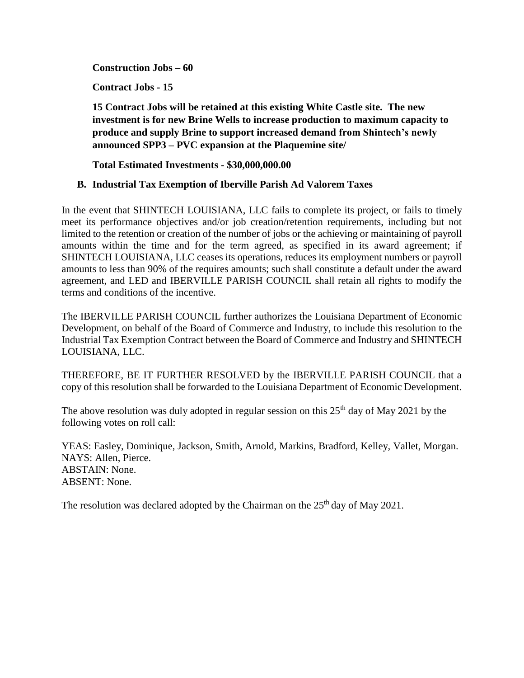**Construction Jobs – 60** 

**Contract Jobs - 15**

**15 Contract Jobs will be retained at this existing White Castle site. The new investment is for new Brine Wells to increase production to maximum capacity to produce and supply Brine to support increased demand from Shintech's newly announced SPP3 – PVC expansion at the Plaquemine site/** 

**Total Estimated Investments - \$30,000,000.00**

# **B. Industrial Tax Exemption of Iberville Parish Ad Valorem Taxes**

In the event that SHINTECH LOUISIANA, LLC fails to complete its project, or fails to timely meet its performance objectives and/or job creation/retention requirements, including but not limited to the retention or creation of the number of jobs or the achieving or maintaining of payroll amounts within the time and for the term agreed, as specified in its award agreement; if SHINTECH LOUISIANA, LLC ceases its operations, reduces its employment numbers or payroll amounts to less than 90% of the requires amounts; such shall constitute a default under the award agreement, and LED and IBERVILLE PARISH COUNCIL shall retain all rights to modify the terms and conditions of the incentive.

The IBERVILLE PARISH COUNCIL further authorizes the Louisiana Department of Economic Development, on behalf of the Board of Commerce and Industry, to include this resolution to the Industrial Tax Exemption Contract between the Board of Commerce and Industry and SHINTECH LOUISIANA, LLC.

THEREFORE, BE IT FURTHER RESOLVED by the IBERVILLE PARISH COUNCIL that a copy of this resolution shall be forwarded to the Louisiana Department of Economic Development.

The above resolution was duly adopted in regular session on this  $25<sup>th</sup>$  day of May 2021 by the following votes on roll call:

YEAS: Easley, Dominique, Jackson, Smith, Arnold, Markins, Bradford, Kelley, Vallet, Morgan. NAYS: Allen, Pierce. ABSTAIN: None. ABSENT: None.

The resolution was declared adopted by the Chairman on the  $25<sup>th</sup>$  day of May 2021.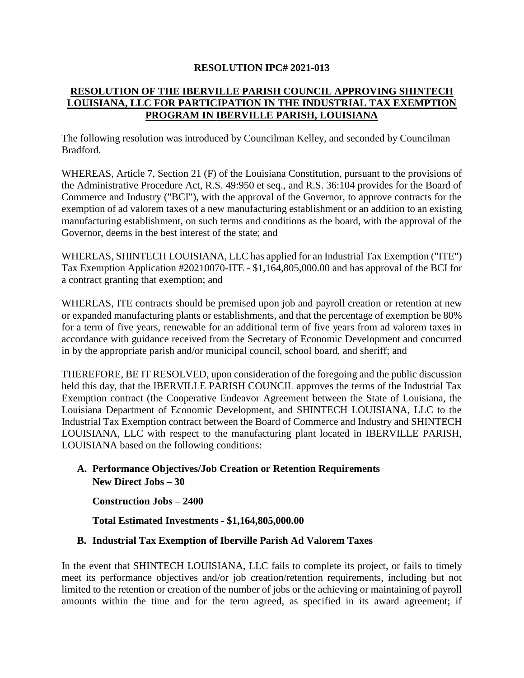# **RESOLUTION IPC# 2021-013**

# **RESOLUTION OF THE IBERVILLE PARISH COUNCIL APPROVING SHINTECH LOUISIANA, LLC FOR PARTICIPATION IN THE INDUSTRIAL TAX EXEMPTION PROGRAM IN IBERVILLE PARISH, LOUISIANA**

The following resolution was introduced by Councilman Kelley, and seconded by Councilman Bradford.

WHEREAS, Article 7, Section 21 (F) of the Louisiana Constitution, pursuant to the provisions of the Administrative Procedure Act, R.S. 49:950 et seq., and R.S. 36:104 provides for the Board of Commerce and Industry ("BCI"), with the approval of the Governor, to approve contracts for the exemption of ad valorem taxes of a new manufacturing establishment or an addition to an existing manufacturing establishment, on such terms and conditions as the board, with the approval of the Governor, deems in the best interest of the state; and

WHEREAS, SHINTECH LOUISIANA, LLC has applied for an Industrial Tax Exemption ("ITE") Tax Exemption Application #20210070-ITE - \$1,164,805,000.00 and has approval of the BCI for a contract granting that exemption; and

WHEREAS, ITE contracts should be premised upon job and payroll creation or retention at new or expanded manufacturing plants or establishments, and that the percentage of exemption be 80% for a term of five years, renewable for an additional term of five years from ad valorem taxes in accordance with guidance received from the Secretary of Economic Development and concurred in by the appropriate parish and/or municipal council, school board, and sheriff; and

THEREFORE, BE IT RESOLVED, upon consideration of the foregoing and the public discussion held this day, that the IBERVILLE PARISH COUNCIL approves the terms of the Industrial Tax Exemption contract (the Cooperative Endeavor Agreement between the State of Louisiana, the Louisiana Department of Economic Development, and SHINTECH LOUISIANA, LLC to the Industrial Tax Exemption contract between the Board of Commerce and Industry and SHINTECH LOUISIANA, LLC with respect to the manufacturing plant located in IBERVILLE PARISH, LOUISIANA based on the following conditions:

# **A. Performance Objectives/Job Creation or Retention Requirements New Direct Jobs – 30**

**Construction Jobs – 2400** 

**Total Estimated Investments - \$1,164,805,000.00**

# **B. Industrial Tax Exemption of Iberville Parish Ad Valorem Taxes**

In the event that SHINTECH LOUISIANA, LLC fails to complete its project, or fails to timely meet its performance objectives and/or job creation/retention requirements, including but not limited to the retention or creation of the number of jobs or the achieving or maintaining of payroll amounts within the time and for the term agreed, as specified in its award agreement; if